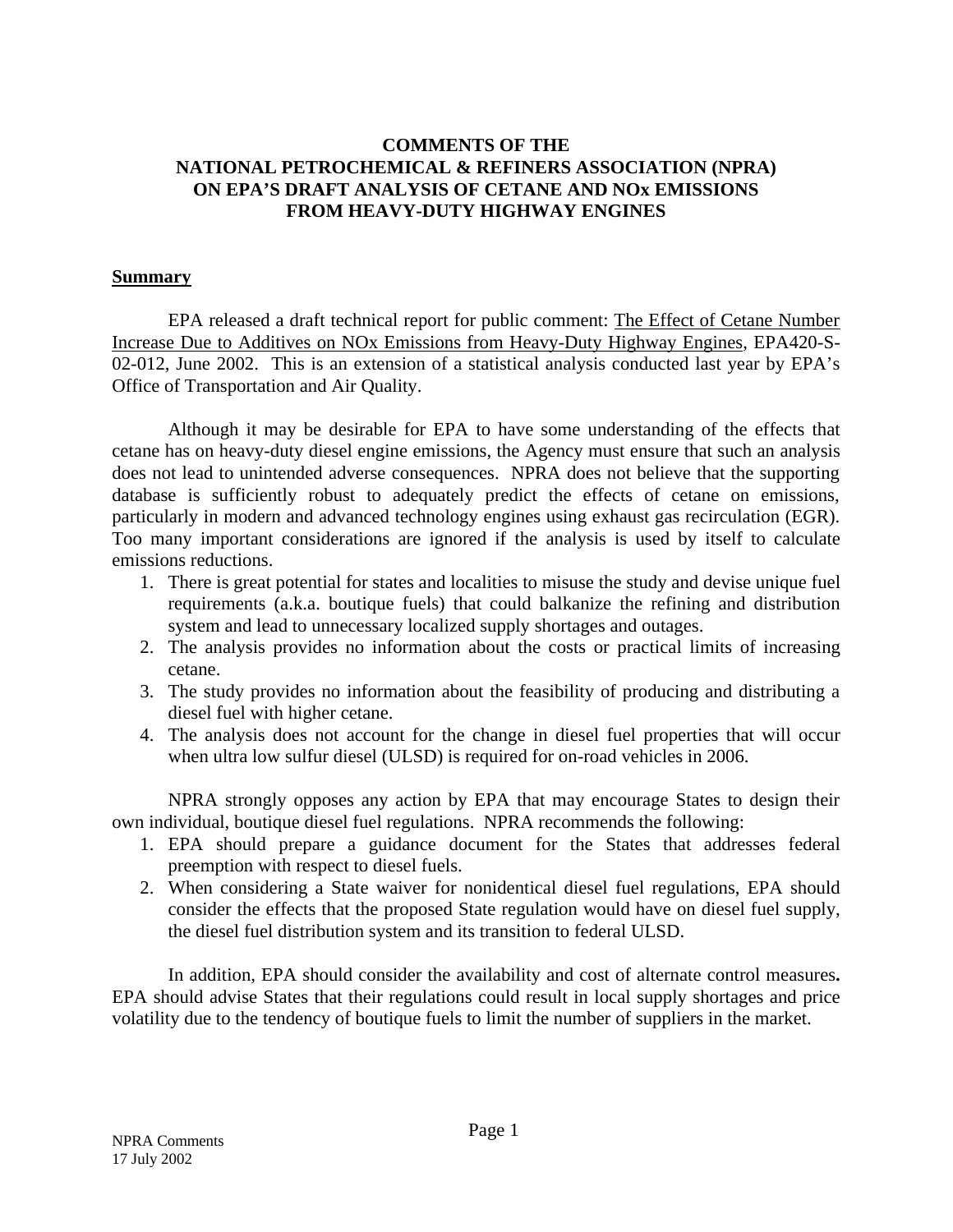# **COMMENTS OF THE NATIONAL PETROCHEMICAL & REFINERS ASSOCIATION (NPRA) ON EPA'S DRAFT ANALYSIS OF CETANE AND NOx EMISSIONS FROM HEAVY-DUTY HIGHWAY ENGINES**

## **Summary**

EPA released a draft technical report for public comment: The Effect of Cetane Number Increase Due to Additives on NOx Emissions from Heavy-Duty Highway Engines, EPA420-S-02-012, June 2002. This is an extension of a statistical analysis conducted last year by EPA's Office of Transportation and Air Quality.

Although it may be desirable for EPA to have some understanding of the effects that cetane has on heavy-duty diesel engine emissions, the Agency must ensure that such an analysis does not lead to unintended adverse consequences. NPRA does not believe that the supporting database is sufficiently robust to adequately predict the effects of cetane on emissions, particularly in modern and advanced technology engines using exhaust gas recirculation (EGR). Too many important considerations are ignored if the analysis is used by itself to calculate emissions reductions.

- 1. There is great potential for states and localities to misuse the study and devise unique fuel requirements (a.k.a. boutique fuels) that could balkanize the refining and distribution system and lead to unnecessary localized supply shortages and outages.
- 2. The analysis provides no information about the costs or practical limits of increasing cetane.
- 3. The study provides no information about the feasibility of producing and distributing a diesel fuel with higher cetane.
- 4. The analysis does not account for the change in diesel fuel properties that will occur when ultra low sulfur diesel (ULSD) is required for on-road vehicles in 2006.

NPRA strongly opposes any action by EPA that may encourage States to design their own individual, boutique diesel fuel regulations. NPRA recommends the following:

- 1. EPA should prepare a guidance document for the States that addresses federal preemption with respect to diesel fuels.
- 2. When considering a State waiver for nonidentical diesel fuel regulations, EPA should consider the effects that the proposed State regulation would have on diesel fuel supply, the diesel fuel distribution system and its transition to federal ULSD.

In addition, EPA should consider the availability and cost of alternate control measures**.**  EPA should advise States that their regulations could result in local supply shortages and price volatility due to the tendency of boutique fuels to limit the number of suppliers in the market.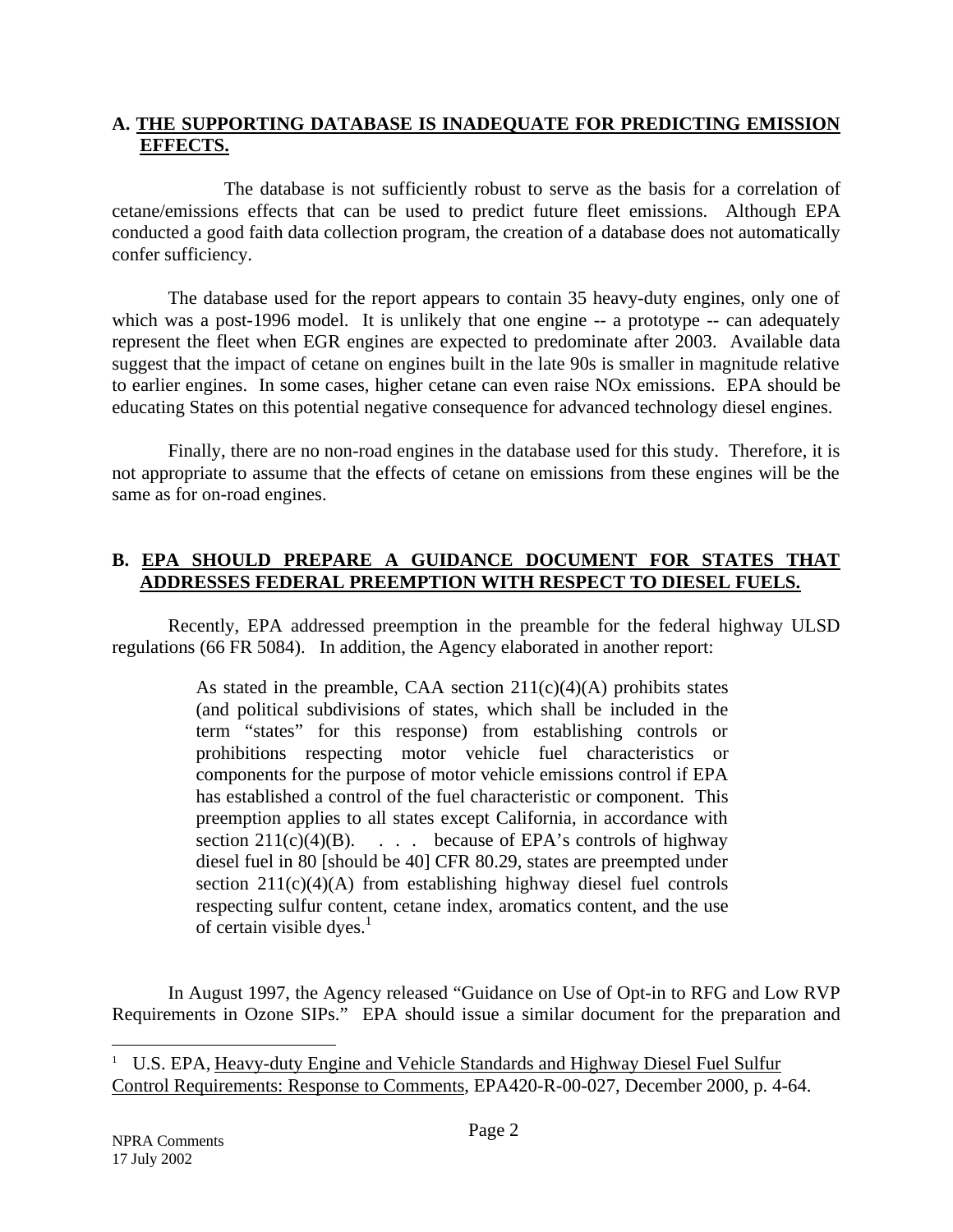# **EFFECTS. A. THE SUPPORTING DATABASE IS INADEQUATE FOR PREDICTING EMISSION**

The database is not sufficiently robust to serve as the basis for a correlation of cetane/emissions effects that can be used to predict future fleet emissions. Although EPA conducted a good faith data collection program, the creation of a database does not automatically confer sufficiency.

The database used for the report appears to contain 35 heavy-duty engines, only one of which was a post-1996 model. It is unlikely that one engine -- a prototype -- can adequately represent the fleet when EGR engines are expected to predominate after 2003. Available data suggest that the impact of cetane on engines built in the late 90s is smaller in magnitude relative to earlier engines. In some cases, higher cetane can even raise NOx emissions. EPA should be educating States on this potential negative consequence for advanced technology diesel engines.

Finally, there are no non-road engines in the database used for this study. Therefore, it is not appropriate to assume that the effects of cetane on emissions from these engines will be the same as for on-road engines.

# **ADDRESSES FEDERAL PREEMPTION WITH RESPECT TO DIESEL FUELS. B. EPA SHOULD PREPARE A GUIDANCE DOCUMENT FOR STATES THAT**

Recently, EPA addressed preemption in the preamble for the federal highway ULSD regulations (66 FR 5084). In addition, the Agency elaborated in another report:

> of certain visible dyes. $<sup>1</sup>$ </sup> As stated in the preamble, CAA section  $211(c)(4)(A)$  prohibits states (and political subdivisions of states, which shall be included in the term "states" for this response) from establishing controls or prohibitions respecting motor vehicle fuel characteristics or components for the purpose of motor vehicle emissions control if EPA has established a control of the fuel characteristic or component. This preemption applies to all states except California, in accordance with section  $211(c)(4)(B)$ . . . because of EPA's controls of highway diesel fuel in 80 [should be 40] CFR 80.29, states are preempted under section  $211(c)(4)(A)$  from establishing highway diesel fuel controls respecting sulfur content, cetane index, aromatics content, and the use

In August 1997, the Agency released "Guidance on Use of Opt-in to RFG and Low RVP Requirements in Ozone SIPs." EPA should issue a similar document for the preparation and

-

<sup>&</sup>lt;sup>1</sup> U.S. EPA, Heavy-duty Engine and Vehicle Standards and Highway Diesel Fuel Sulfur Control Requirements: Response to Comments, EPA420-R-00-027, December 2000, p. 4-64.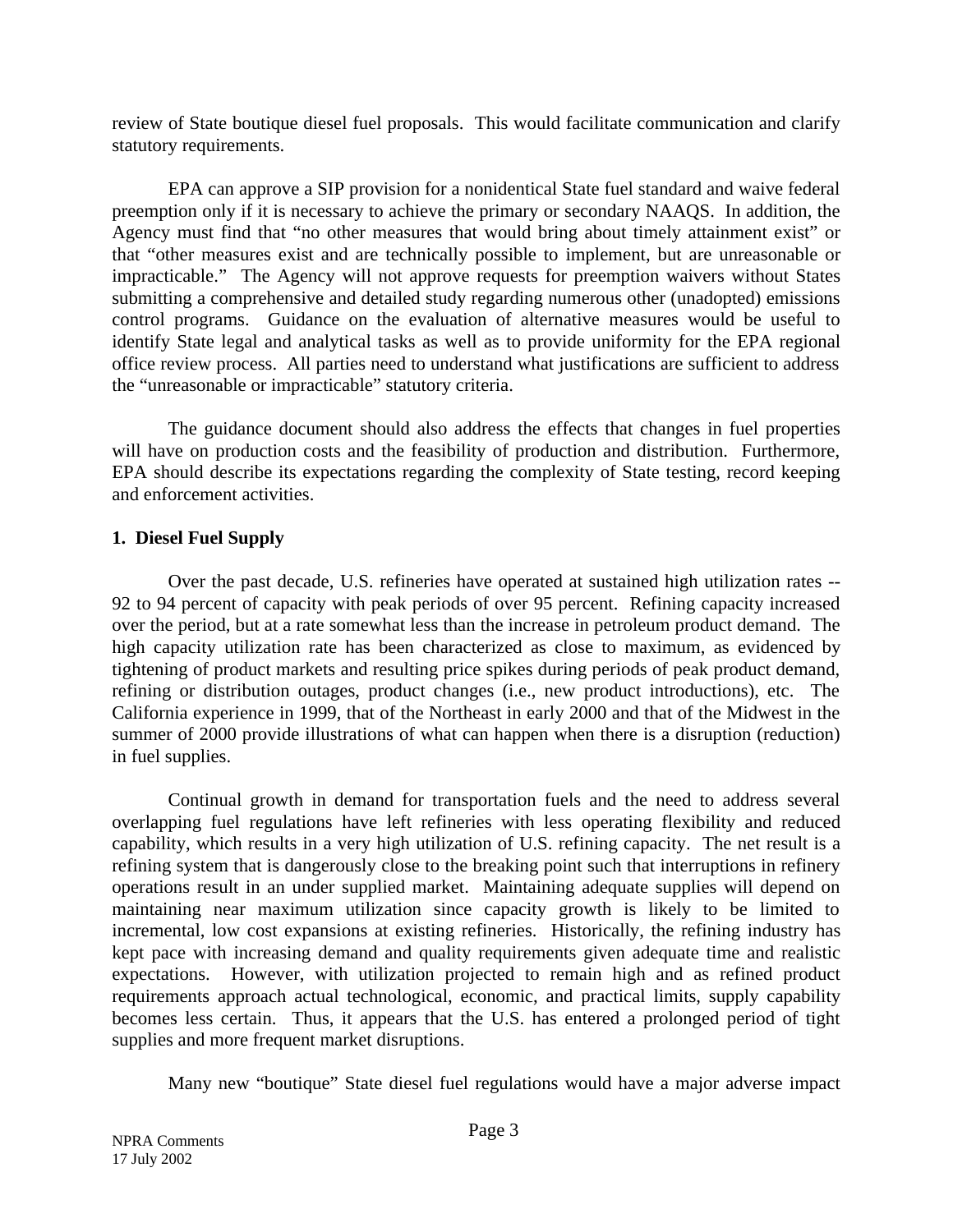review of State boutique diesel fuel proposals. This would facilitate communication and clarify statutory requirements.

EPA can approve a SIP provision for a nonidentical State fuel standard and waive federal preemption only if it is necessary to achieve the primary or secondary NAAQS. In addition, the Agency must find that "no other measures that would bring about timely attainment exist" or that "other measures exist and are technically possible to implement, but are unreasonable or impracticable." The Agency will not approve requests for preemption waivers without States submitting a comprehensive and detailed study regarding numerous other (unadopted) emissions control programs. Guidance on the evaluation of alternative measures would be useful to identify State legal and analytical tasks as well as to provide uniformity for the EPA regional office review process. All parties need to understand what justifications are sufficient to address the "unreasonable or impracticable" statutory criteria.

The guidance document should also address the effects that changes in fuel properties will have on production costs and the feasibility of production and distribution. Furthermore, EPA should describe its expectations regarding the complexity of State testing, record keeping and enforcement activities.

# **1. Diesel Fuel Supply**

Over the past decade, U.S. refineries have operated at sustained high utilization rates -- 92 to 94 percent of capacity with peak periods of over 95 percent. Refining capacity increased over the period, but at a rate somewhat less than the increase in petroleum product demand. The high capacity utilization rate has been characterized as close to maximum, as evidenced by tightening of product markets and resulting price spikes during periods of peak product demand, refining or distribution outages, product changes (i.e., new product introductions), etc. The California experience in 1999, that of the Northeast in early 2000 and that of the Midwest in the summer of 2000 provide illustrations of what can happen when there is a disruption (reduction) in fuel supplies.

Continual growth in demand for transportation fuels and the need to address several overlapping fuel regulations have left refineries with less operating flexibility and reduced capability, which results in a very high utilization of U.S. refining capacity. The net result is a refining system that is dangerously close to the breaking point such that interruptions in refinery operations result in an under supplied market. Maintaining adequate supplies will depend on maintaining near maximum utilization since capacity growth is likely to be limited to incremental, low cost expansions at existing refineries. Historically, the refining industry has kept pace with increasing demand and quality requirements given adequate time and realistic expectations. However, with utilization projected to remain high and as refined product requirements approach actual technological, economic, and practical limits, supply capability becomes less certain. Thus, it appears that the U.S. has entered a prolonged period of tight supplies and more frequent market disruptions.

Many new "boutique" State diesel fuel regulations would have a major adverse impact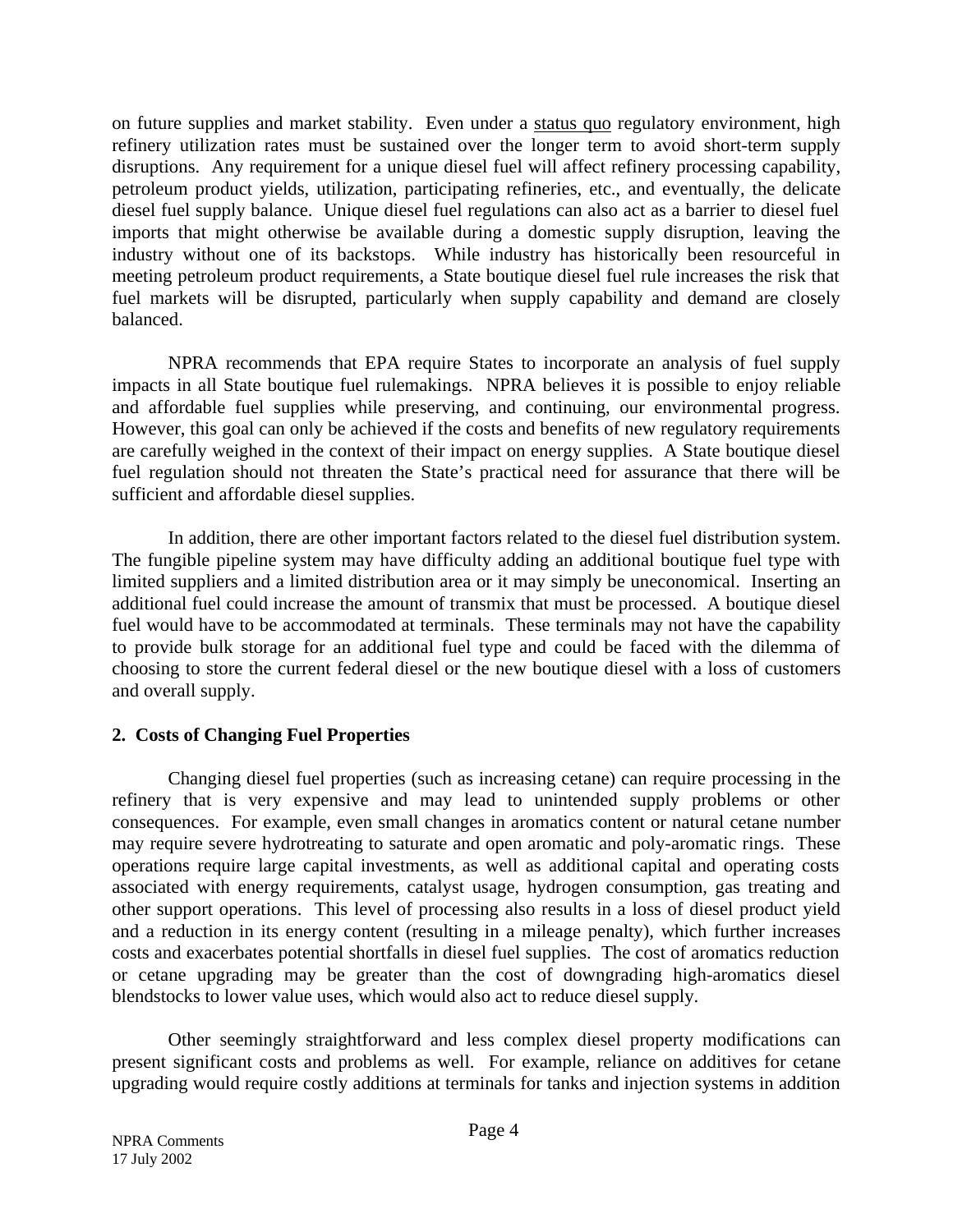on future supplies and market stability. Even under a status quo regulatory environment, high refinery utilization rates must be sustained over the longer term to avoid short-term supply disruptions. Any requirement for a unique diesel fuel will affect refinery processing capability, petroleum product yields, utilization, participating refineries, etc., and eventually, the delicate diesel fuel supply balance. Unique diesel fuel regulations can also act as a barrier to diesel fuel imports that might otherwise be available during a domestic supply disruption, leaving the industry without one of its backstops. While industry has historically been resourceful in meeting petroleum product requirements, a State boutique diesel fuel rule increases the risk that fuel markets will be disrupted, particularly when supply capability and demand are closely balanced.

NPRA recommends that EPA require States to incorporate an analysis of fuel supply impacts in all State boutique fuel rulemakings. NPRA believes it is possible to enjoy reliable and affordable fuel supplies while preserving, and continuing, our environmental progress. However, this goal can only be achieved if the costs and benefits of new regulatory requirements are carefully weighed in the context of their impact on energy supplies. A State boutique diesel fuel regulation should not threaten the State's practical need for assurance that there will be sufficient and affordable diesel supplies.

In addition, there are other important factors related to the diesel fuel distribution system. The fungible pipeline system may have difficulty adding an additional boutique fuel type with limited suppliers and a limited distribution area or it may simply be uneconomical. Inserting an additional fuel could increase the amount of transmix that must be processed. A boutique diesel fuel would have to be accommodated at terminals. These terminals may not have the capability to provide bulk storage for an additional fuel type and could be faced with the dilemma of choosing to store the current federal diesel or the new boutique diesel with a loss of customers and overall supply.

# **2. Costs of Changing Fuel Properties**

Changing diesel fuel properties (such as increasing cetane) can require processing in the refinery that is very expensive and may lead to unintended supply problems or other consequences. For example, even small changes in aromatics content or natural cetane number may require severe hydrotreating to saturate and open aromatic and poly-aromatic rings. These operations require large capital investments, as well as additional capital and operating costs associated with energy requirements, catalyst usage, hydrogen consumption, gas treating and other support operations. This level of processing also results in a loss of diesel product yield and a reduction in its energy content (resulting in a mileage penalty), which further increases costs and exacerbates potential shortfalls in diesel fuel supplies. The cost of aromatics reduction or cetane upgrading may be greater than the cost of downgrading high-aromatics diesel blendstocks to lower value uses, which would also act to reduce diesel supply.

Other seemingly straightforward and less complex diesel property modifications can present significant costs and problems as well. For example, reliance on additives for cetane upgrading would require costly additions at terminals for tanks and injection systems in addition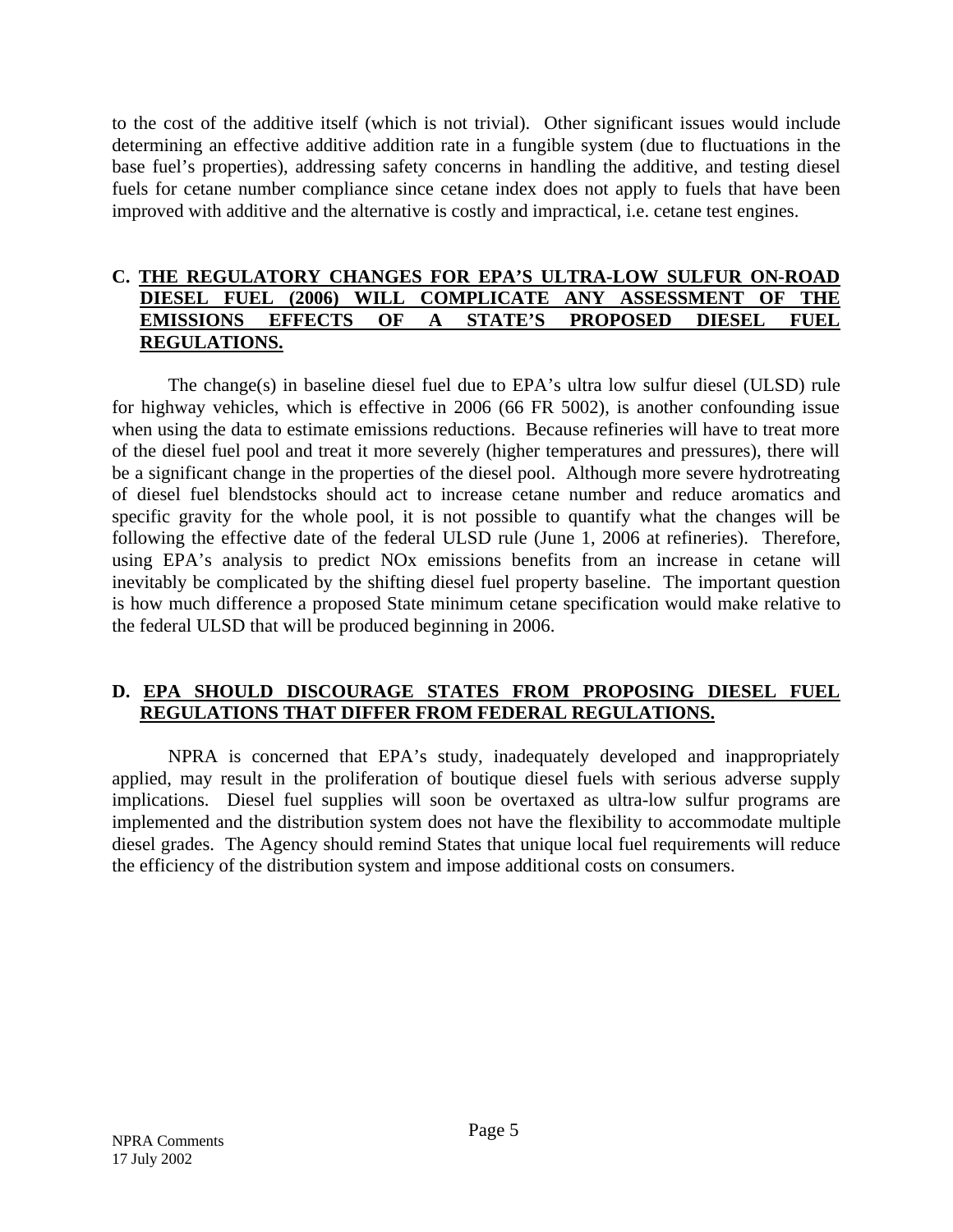to the cost of the additive itself (which is not trivial). Other significant issues would include determining an effective additive addition rate in a fungible system (due to fluctuations in the base fuel's properties), addressing safety concerns in handling the additive, and testing diesel fuels for cetane number compliance since cetane index does not apply to fuels that have been improved with additive and the alternative is costly and impractical, i.e. cetane test engines.

# **C. THE REGULATORY CHANGES FOR EPA'S ULTRA-LOW SULFUR ON-ROAD DIESEL FUEL (2006) WILL COMPLICATE ANY ASSESSMENT OF THE EMISSIONS EFFECTS OF A STATE'S PROPOSED DIESEL FUEL REGULATIONS.**

The change(s) in baseline diesel fuel due to EPA's ultra low sulfur diesel (ULSD) rule for highway vehicles, which is effective in 2006 (66 FR 5002), is another confounding issue when using the data to estimate emissions reductions. Because refineries will have to treat more of the diesel fuel pool and treat it more severely (higher temperatures and pressures), there will be a significant change in the properties of the diesel pool. Although more severe hydrotreating of diesel fuel blendstocks should act to increase cetane number and reduce aromatics and specific gravity for the whole pool, it is not possible to quantify what the changes will be following the effective date of the federal ULSD rule (June 1, 2006 at refineries). Therefore, using EPA's analysis to predict NOx emissions benefits from an increase in cetane will inevitably be complicated by the shifting diesel fuel property baseline. The important question is how much difference a proposed State minimum cetane specification would make relative to the federal ULSD that will be produced beginning in 2006.

# **REGULATIONS THAT DIFFER FROM FEDERAL REGULATIONS. D. EPA SHOULD DISCOURAGE STATES FROM PROPOSING DIESEL FUEL**

NPRA is concerned that EPA's study, inadequately developed and inappropriately applied, may result in the proliferation of boutique diesel fuels with serious adverse supply implications. Diesel fuel supplies will soon be overtaxed as ultra-low sulfur programs are implemented and the distribution system does not have the flexibility to accommodate multiple diesel grades. The Agency should remind States that unique local fuel requirements will reduce the efficiency of the distribution system and impose additional costs on consumers.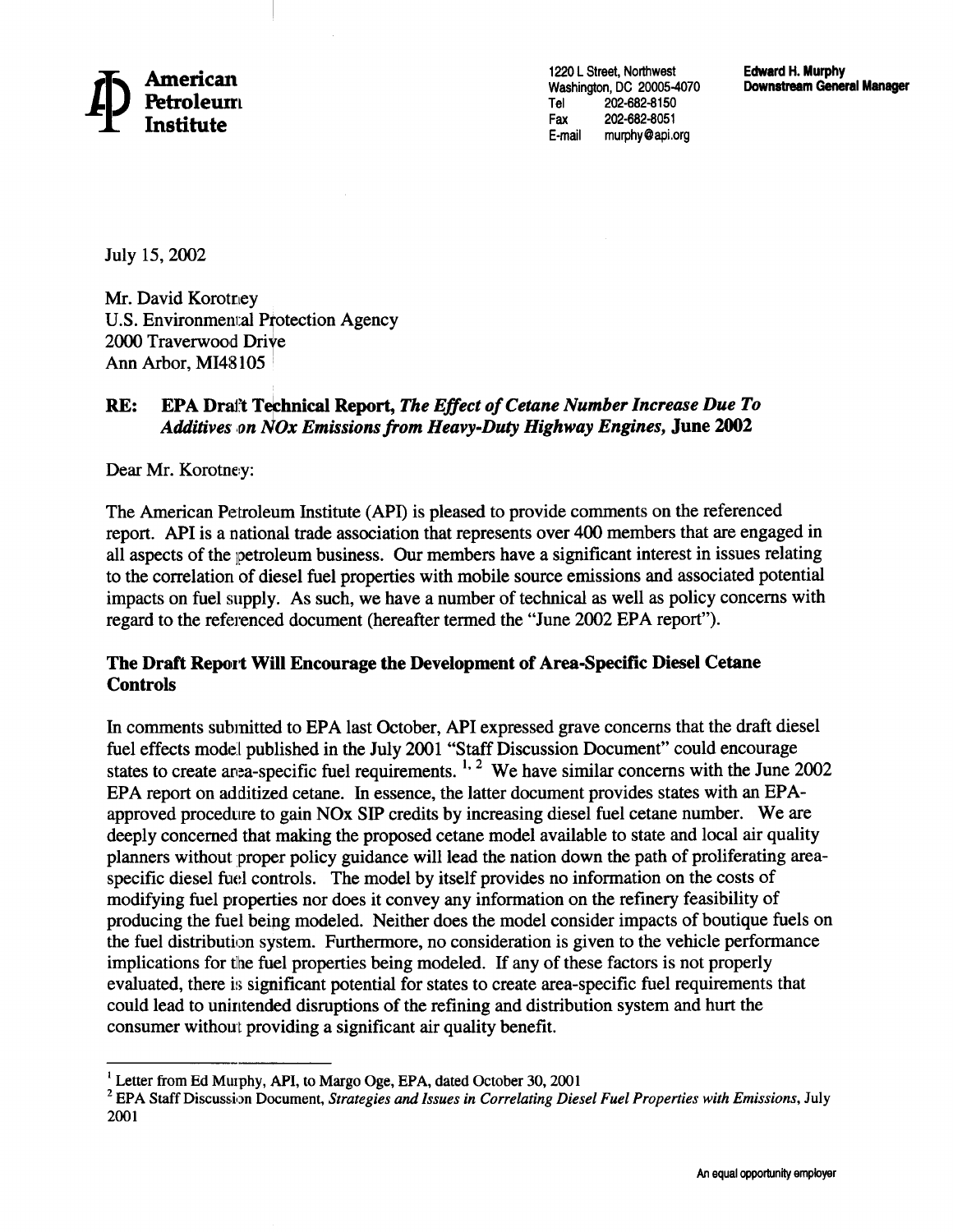1220 L Street, Northwest Washington, DC 20005-4070 202-682-8150 Tel Fax 202-682-8051 E-mail murphy@api.org

July 15, 2002

Mr. David Korotney **U.S. Environmental Protection Agency** 2000 Traverwood Drive Ann Arbor, MI48105

#### RE: **EPA Drait Technical Report, The Effect of Cetane Number Increase Due To** Additives on NOx Emissions from Heavy-Duty Highway Engines, June 2002

Dear Mr. Korotney:

The American Petroleum Institute (API) is pleased to provide comments on the referenced report. API is a national trade association that represents over 400 members that are engaged in all aspects of the petroleum business. Our members have a significant interest in issues relating to the correlation of diesel fuel properties with mobile source emissions and associated potential impacts on fuel supply. As such, we have a number of technical as well as policy concerns with regard to the referenced document (hereafter termed the "June 2002 EPA report").

## The Draft Report Will Encourage the Development of Area-Specific Diesel Cetane **Controls**

In comments submitted to EPA last October, API expressed grave concerns that the draft diesel fuel effects model published in the July 2001 "Staff Discussion Document" could encourage<br>states to create area-specific fuel requirements.<sup>1, 2</sup> We have similar concerns with the June 2002 EPA report on additized cetane. In essence, the latter document provides states with an EPAapproved procedure to gain NOx SIP credits by increasing diesel fuel cetane number. We are deeply concerned that making the proposed cetane model available to state and local air quality planners without proper policy guidance will lead the nation down the path of proliferating areaspecific diesel fuel controls. The model by itself provides no information on the costs of modifying fuel properties nor does it convey any information on the refinery feasibility of producing the fuel being modeled. Neither does the model consider impacts of boutique fuels on the fuel distribution system. Furthermore, no consideration is given to the vehicle performance implications for the fuel properties being modeled. If any of these factors is not properly evaluated, there is significant potential for states to create area-specific fuel requirements that could lead to unintended disruptions of the refining and distribution system and hurt the consumer without providing a significant air quality benefit.

<sup>&</sup>lt;sup>1</sup> Letter from Ed Murphy, API, to Margo Oge, EPA, dated October 30, 2001

<sup>&</sup>lt;sup>2</sup> EPA Staff Discussion Document, Strategies and Issues in Correlating Diesel Fuel Properties with Emissions, July 2001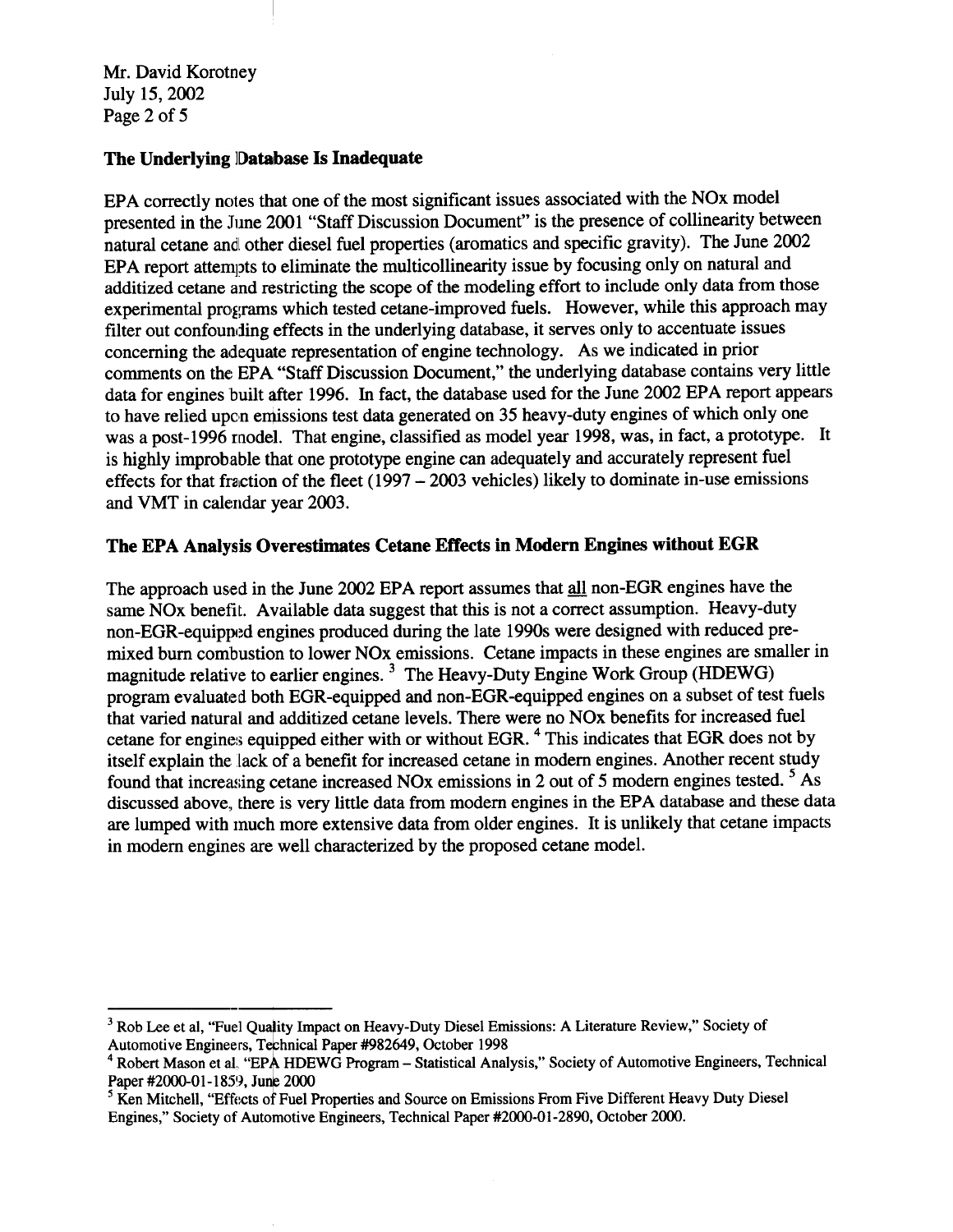Mr. David Korotney July 15, 2002 Page 2 of 5

### The Underlying Database Is Inadequate

EPA correctly notes that one of the most significant issues associated with the NO<sub>x</sub> model presented in the June 2001 "Staff Discussion Document" is the presence of collinearity between natural cetane and other diesel fuel properties (aromatics and specific gravity). The June 2002 EPA report attempts to eliminate the multicollinearity issue by focusing only on natural and additized cetane and restricting the scope of the modeling effort to include only data from those experimental programs which tested cetane-improved fuels. However, while this approach may filter out confounding effects in the underlying database, it serves only to accentuate issues concerning the adequate representation of engine technology. As we indicated in prior comments on the EPA "Staff Discussion Document," the underlying database contains very little data for engines built after 1996. In fact, the database used for the June 2002 EPA report appears to have relied upon emissions test data generated on 35 heavy-duty engines of which only one was a post-1996 model. That engine, classified as model year 1998, was, in fact, a prototype. It is highly improbable that one prototype engine can adequately and accurately represent fuel effects for that fraction of the fleet  $(1997 - 2003$  vehicles) likely to dominate in-use emissions and VMT in calendar year 2003.

# The EPA Analysis Overestimates Cetane Effects in Modern Engines without EGR

The approach used in the June 2002 EPA report assumes that all non-EGR engines have the same NOx benefit. Available data suggest that this is not a correct assumption. Heavy-duty non-EGR-equipped engines produced during the late 1990s were designed with reduced premixed burn combustion to lower NOx emissions. Cetane impacts in these engines are smaller in magnitude relative to earlier engines.<sup>3</sup> The Heavy-Duty Engine Work Group (HDEWG) program evaluated both EGR-equipped and non-EGR-equipped engines on a subset of test fuels that varied natural and additized cetane levels. There were no NO<sub>x</sub> benefits for increased fuel cetane for engines equipped either with or without EGR.<sup>4</sup> This indicates that EGR does not by itself explain the lack of a benefit for increased cetane in modern engines. Another recent study found that increasing cetane increased NOx emissions in 2 out of 5 modern engines tested. <sup>5</sup> As discussed above, there is very little data from modern engines in the EPA database and these data are lumped with much more extensive data from older engines. It is unlikely that cetane impacts in modern engines are well characterized by the proposed cetane model.

 $3$  Rob Lee et al, "Fuel Quality Impact on Heavy-Duty Diesel Emissions: A Literature Review," Society of Automotive Engineers, Technical Paper #982649, October 1998

<sup>&</sup>lt;sup>4</sup> Robert Mason et al. "EPA HDEWG Program - Statistical Analysis," Society of Automotive Engineers, Technical Paper #2000-01-1859, June 2000

<sup>&</sup>lt;sup>5</sup> Ken Mitchell, "Effects of Fuel Properties and Source on Emissions From Five Different Heavy Duty Diesel Engines," Society of Automotive Engineers, Technical Paper #2000-01-2890, October 2000.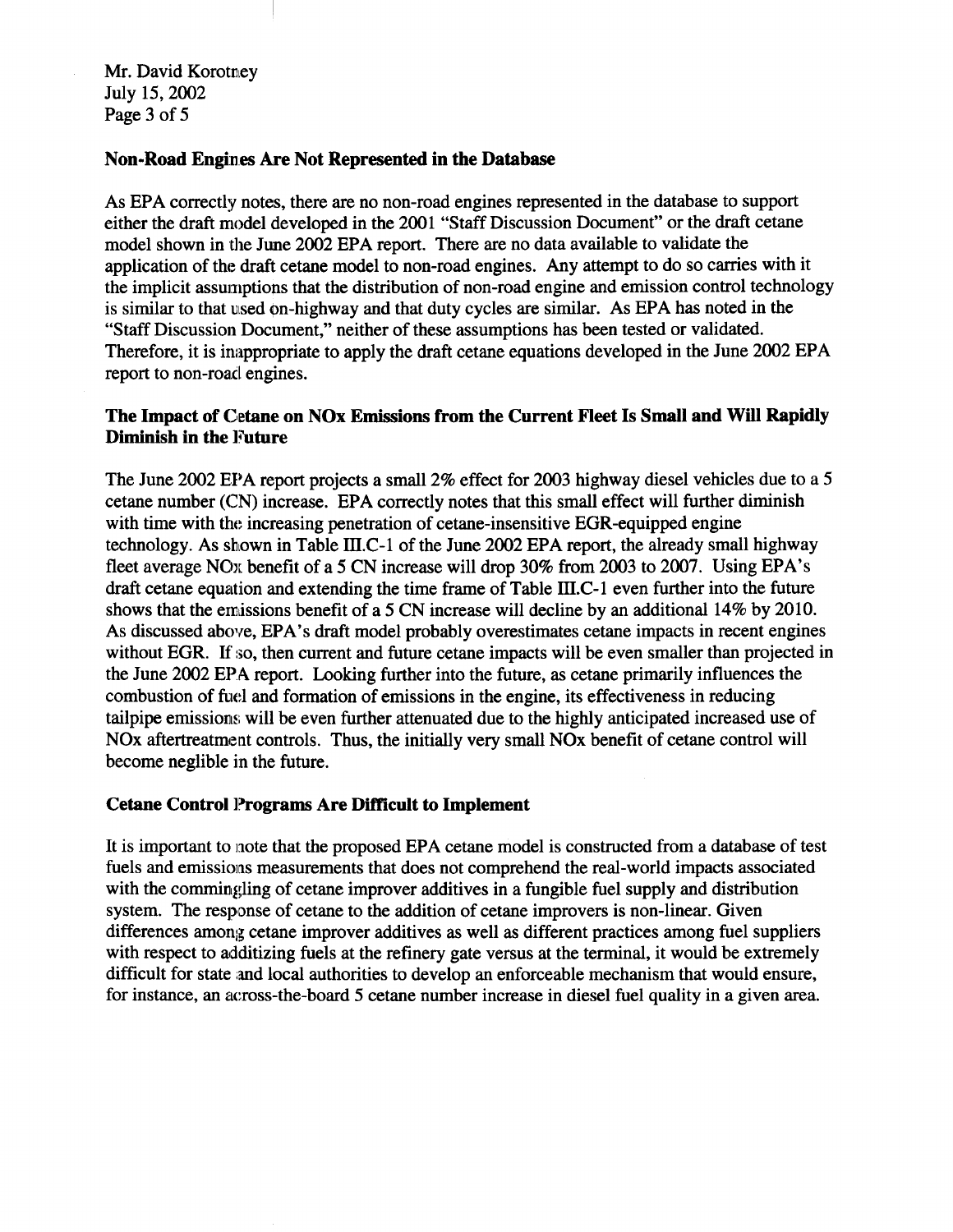Mr. David Korotney July 15, 2002 Page 3 of 5

#### Non-Road Engines Are Not Represented in the Database

As EPA correctly notes, there are no non-road engines represented in the database to support either the draft model developed in the 2001 "Staff Discussion Document" or the draft cetane model shown in the June 2002 EPA report. There are no data available to validate the application of the draft cetane model to non-road engines. Any attempt to do so carries with it the implicit assumptions that the distribution of non-road engine and emission control technology is similar to that used on-highway and that duty cycles are similar. As EPA has noted in the "Staff Discussion Document," neither of these assumptions has been tested or validated. Therefore, it is inappropriate to apply the draft cetane equations developed in the June 2002 EPA report to non-road engines.

### The Impact of Cetane on NOx Emissions from the Current Fleet Is Small and Will Rapidly Diminish in the Future

The June 2002 EPA report projects a small 2% effect for 2003 highway diesel vehicles due to a 5 cetane number (CN) increase. EPA correctly notes that this small effect will further diminish with time with the increasing penetration of cetane-insensitive EGR-equipped engine technology. As shown in Table III.C-1 of the June 2002 EPA report, the already small highway fleet average NO<sub>x</sub> benefit of a 5 CN increase will drop 30% from 2003 to 2007. Using EPA's draft cetane equation and extending the time frame of Table III.C-1 even further into the future shows that the emissions benefit of a 5 CN increase will decline by an additional 14% by 2010. As discussed above, EPA's draft model probably overestimates cetane impacts in recent engines without EGR. If so, then current and future cetane impacts will be even smaller than projected in the June 2002 EPA report. Looking further into the future, as cetane primarily influences the combustion of fuel and formation of emissions in the engine, its effectiveness in reducing tailpipe emissions will be even further attenuated due to the highly anticipated increased use of NOx aftertreatment controls. Thus, the initially very small NOx benefit of cetane control will become neglible in the future.

#### **Cetane Control Programs Are Difficult to Implement**

It is important to note that the proposed EPA cetane model is constructed from a database of test fuels and emissions measurements that does not comprehend the real-world impacts associated with the commingling of cetane improver additives in a fungible fuel supply and distribution system. The response of cetane to the addition of cetane improvers is non-linear. Given differences among cetane improver additives as well as different practices among fuel suppliers with respect to additizing fuels at the refinery gate versus at the terminal, it would be extremely difficult for state and local authorities to develop an enforceable mechanism that would ensure, for instance, an across-the-board 5 cetane number increase in diesel fuel quality in a given area.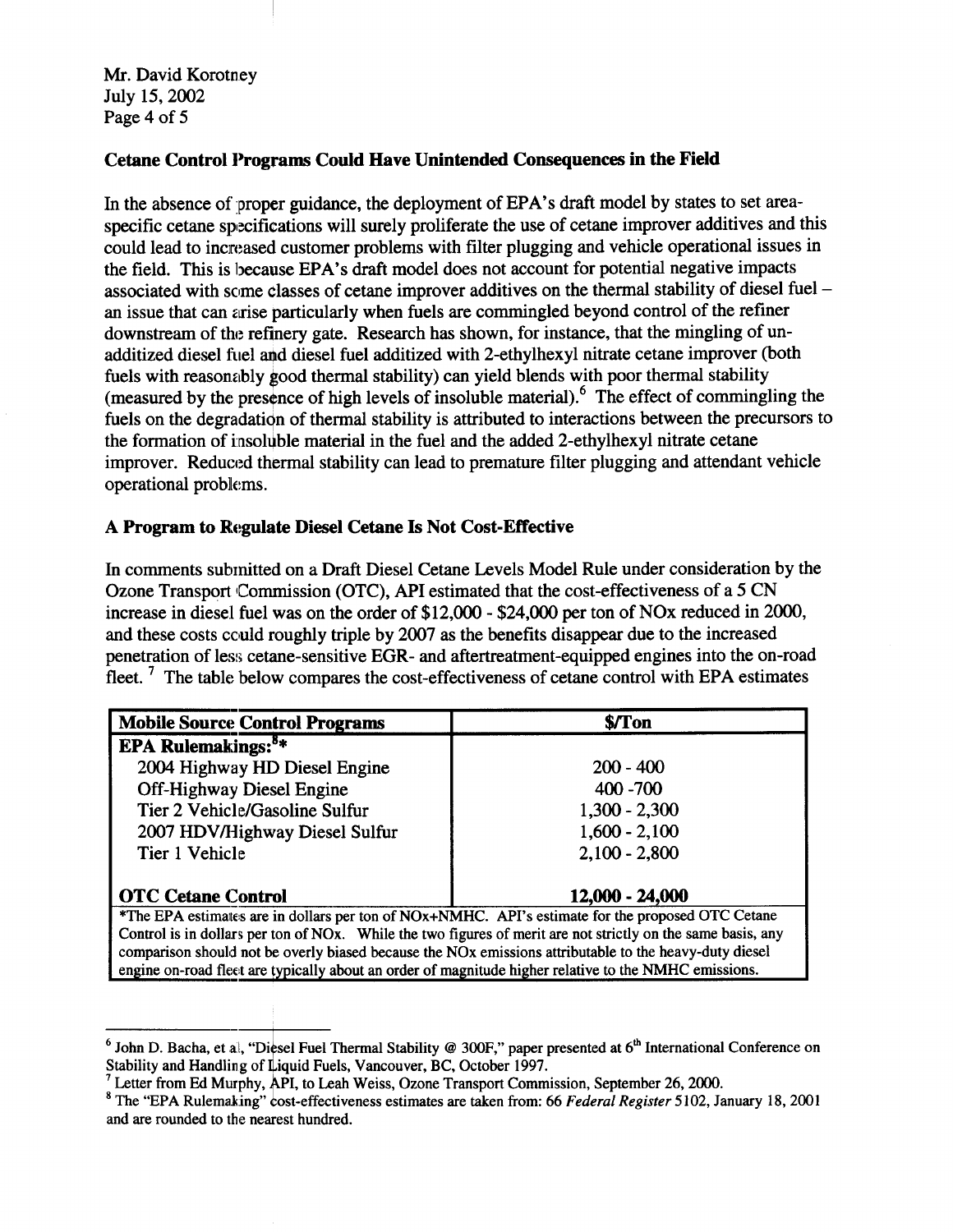Mr. David Korotney July 15, 2002 Page 4 of 5

# Cetane Control Programs Could Have Unintended Consequences in the Field

In the absence of proper guidance, the deployment of EPA's draft model by states to set areaspecific cetane specifications will surely proliferate the use of cetane improver additives and this could lead to increased customer problems with filter plugging and vehicle operational issues in the field. This is because EPA's draft model does not account for potential negative impacts associated with some classes of cetane improver additives on the thermal stability of diesel fuel – an issue that can arise particularly when fuels are commingled beyond control of the refiner downstream of the refinery gate. Research has shown, for instance, that the mingling of unadditized diesel fuel and diesel fuel additized with 2-ethylhexyl nitrate cetane improver (both fuels with reasonably good thermal stability) can yield blends with poor thermal stability (measured by the presence of high levels of insoluble material).<sup>6</sup> The effect of commingling the fuels on the degradation of thermal stability is attributed to interactions between the precursors to the formation of insoluble material in the fuel and the added 2-ethylhexyl nitrate cetane improver. Reduced thermal stability can lead to premature filter plugging and attendant vehicle operational problems.

### A Program to Regulate Diesel Cetane Is Not Cost-Effective

In comments submitted on a Draft Diesel Cetane Levels Model Rule under consideration by the Ozone Transport Commission (OTC), API estimated that the cost-effectiveness of a 5 CN increase in diesel fuel was on the order of \$12,000 - \$24,000 per ton of NO<sub>x</sub> reduced in 2000, and these costs could roughly triple by 2007 as the benefits disappear due to the increased penetration of less cetane-sensitive EGR- and aftertreatment-equipped engines into the on-road fleet.<sup>7</sup> The table below compares the cost-effectiveness of cetane control with EPA estimates

| <b>Mobile Source Control Programs</b>                                                                        | \$/Ton          |
|--------------------------------------------------------------------------------------------------------------|-----------------|
| EPA Rulemakings: <sup>8*</sup>                                                                               |                 |
| 2004 Highway HD Diesel Engine                                                                                | $200 - 400$     |
| Off-Highway Diesel Engine                                                                                    | 400 - 700       |
| Tier 2 Vehicle/Gasoline Sulfur                                                                               | $1,300 - 2,300$ |
| 2007 HDV/Highway Diesel Sulfur                                                                               | $1,600 - 2,100$ |
| Tier 1 Vehicle                                                                                               | $2,100 - 2,800$ |
|                                                                                                              |                 |
| <b>OTC Cetane Control</b>                                                                                    | 12,000 - 24,000 |
| *The EPA estimates are in dollars per ton of NOx+NMHC. API's estimate for the proposed OTC Cetane            |                 |
| Control is in dollars per ton of NOx. While the two figures of merit are not strictly on the same basis, any |                 |
| comparison should not be overly biased because the NOx emissions attributable to the heavy-duty diesel       |                 |
| engine on-road fleet are typically about an order of magnitude higher relative to the NMHC emissions.        |                 |

<sup>&</sup>lt;sup>6</sup> John D. Bacha, et al. "Diesel Fuel Thermal Stability @ 300F," paper presented at  $6<sup>th</sup>$  International Conference on Stability and Handling of Liquid Fuels, Vancouver, BC, October 1997.

 $^7$  Letter from Ed Murphy, API, to Leah Weiss, Ozone Transport Commission, September 26, 2000.

 $8$  The "EPA Rulemaking" cost-effectiveness estimates are taken from: 66 Federal Register 5102, January 18, 2001 and are rounded to the nearest hundred.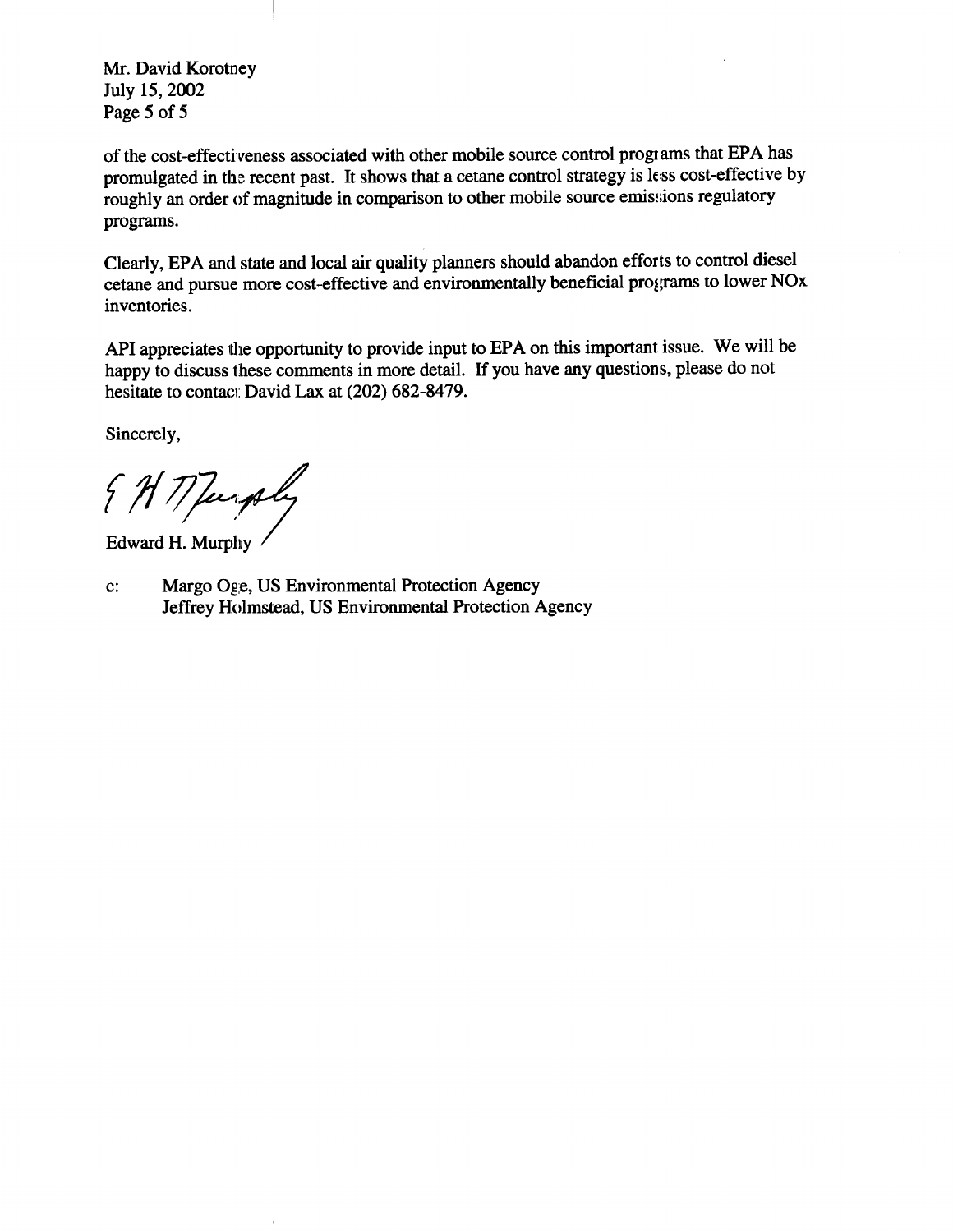Mr. David Korotney July 15, 2002 Page 5 of 5

of the cost-effectiveness associated with other mobile source control programs that EPA has promulgated in the recent past. It shows that a cetane control strategy is less cost-effective by roughly an order of magnitude in comparison to other mobile source emissions regulatory programs.

Clearly, EPA and state and local air quality planners should abandon efforts to control diesel cetane and pursue more cost-effective and environmentally beneficial programs to lower NOx inventories.

API appreciates the opportunity to provide input to EPA on this important issue. We will be happy to discuss these comments in more detail. If you have any questions, please do not hesitate to contact David Lax at (202) 682-8479.

Sincerely,

{ H M Jurply

Edward H. Murphy

Margo Oge, US Environmental Protection Agency  $\mathbf{c}$ : Jeffrey Holmstead, US Environmental Protection Agency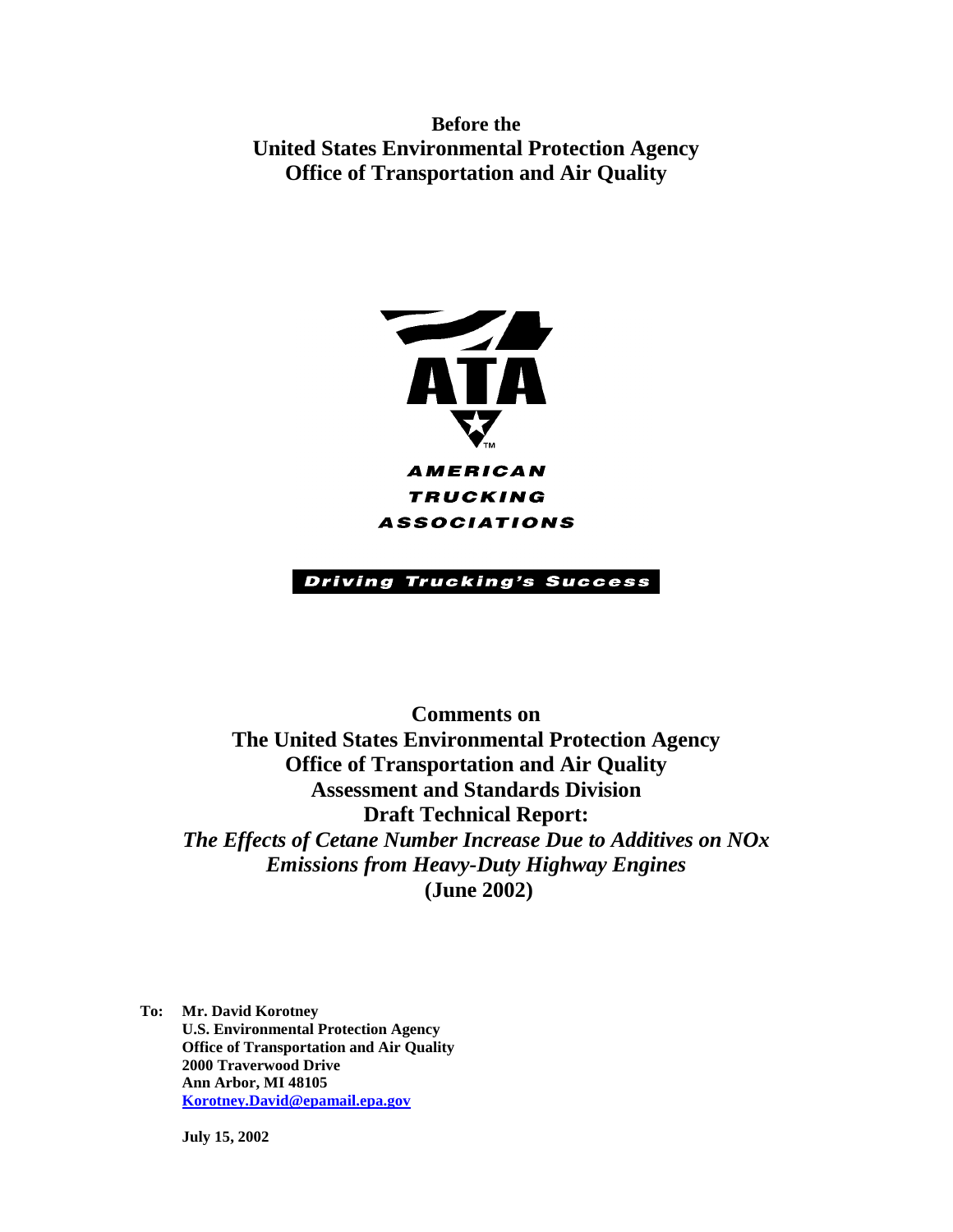**Before the United States Environmental Protection Agency Office of Transportation and Air Quality** 



**TRUCKING** ASSOCIATIONS

# **Driving Trucking's Success**

**Comments on The United States Environmental Protection Agency Office of Transportation and Air Quality Assessment and Standards Division Draft Technical Report:** *The Effects of Cetane Number Increase Due to Additives on NOx Emissions from Heavy-Duty Highway Engines*  **(June 2002)** 

**To: Mr. David Korotney U.S. Environmental Protection Agency Office of Transportation and Air Quality 2000 Traverwood Drive Ann Arbor, MI 48105 Korotney.David@epamail.epa.gov** 

**July 15, 2002**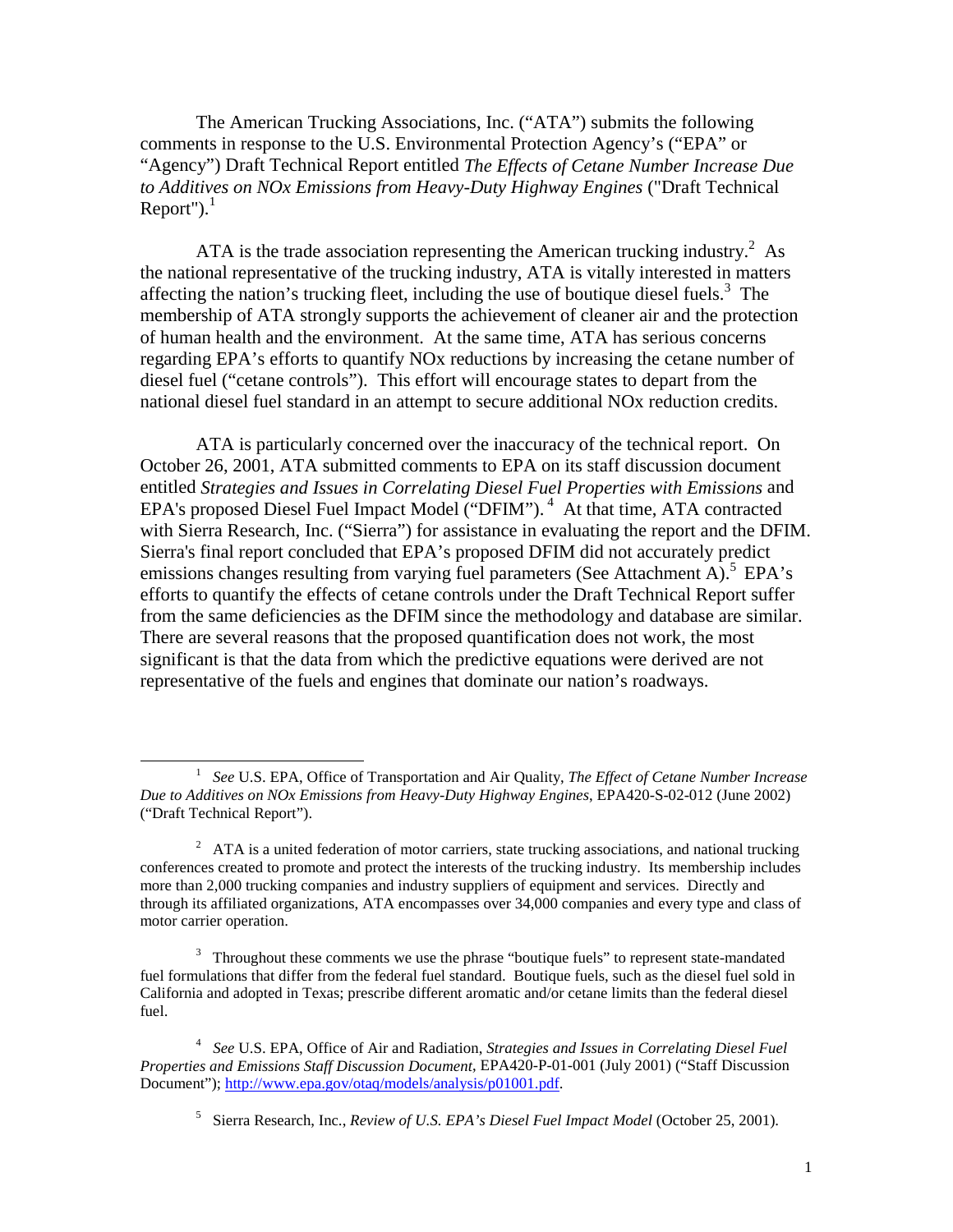The American Trucking Associations, Inc. ("ATA") submits the following comments in response to the U.S. Environmental Protection Agency's ("EPA" or "Agency") Draft Technical Report entitled *The Effects of Cetane Number Increase Due to Additives on NOx Emissions from Heavy-Duty Highway Engines* ("Draft Technical Report"). $<sup>1</sup>$ </sup>

ATA is the trade association representing the American trucking industry.<sup>2</sup> As the national representative of the trucking industry, ATA is vitally interested in matters affecting the nation's trucking fleet, including the use of boutique diesel fuels.<sup>3</sup> The membership of ATA strongly supports the achievement of cleaner air and the protection of human health and the environment. At the same time, ATA has serious concerns regarding EPA's efforts to quantify NOx reductions by increasing the cetane number of diesel fuel ("cetane controls"). This effort will encourage states to depart from the national diesel fuel standard in an attempt to secure additional NOx reduction credits.

ATA is particularly concerned over the inaccuracy of the technical report. On October 26, 2001, ATA submitted comments to EPA on its staff discussion document entitled *Strategies and Issues in Correlating Diesel Fuel Properties with Emissions* and EPA's proposed Diesel Fuel Impact Model ("DFIM").<sup>4</sup> At that time, ATA contracted with Sierra Research, Inc. ("Sierra") for assistance in evaluating the report and the DFIM. Sierra's final report concluded that EPA's proposed DFIM did not accurately predict emissions changes resulting from varying fuel parameters (See Attachment A).<sup>5</sup> EPA's efforts to quantify the effects of cetane controls under the Draft Technical Report suffer from the same deficiencies as the DFIM since the methodology and database are similar. There are several reasons that the proposed quantification does not work, the most significant is that the data from which the predictive equations were derived are not representative of the fuels and engines that dominate our nation's roadways.

 $\overline{a}$ 

 <sup>1</sup>*See* U.S. EPA, Office of Transportation and Air Quality, *The Effect of Cetane Number Increase Due to Additives on NOx Emissions from Heavy-Duty Highway Engines*, EPA420-S-02-012 (June 2002) ("Draft Technical Report").

 $2^2$  ATA is a united federation of motor carriers, state trucking associations, and national trucking conferences created to promote and protect the interests of the trucking industry. Its membership includes more than 2,000 trucking companies and industry suppliers of equipment and services. Directly and through its affiliated organizations, ATA encompasses over 34,000 companies and every type and class of motor carrier operation.

 $3$  Throughout these comments we use the phrase "boutique fuels" to represent state-mandated fuel formulations that differ from the federal fuel standard. Boutique fuels, such as the diesel fuel sold in California and adopted in Texas; prescribe different aromatic and/or cetane limits than the federal diesel fuel.

<sup>4</sup> *See* U.S. EPA, Office of Air and Radiation, *Strategies and Issues in Correlating Diesel Fuel Properties and Emissions Staff Discussion Document*, EPA420-P-01-001 (July 2001) ("Staff Discussion Document"); http://www.epa.gov/otaq/models/analysis/p01001.pdf.

<sup>5</sup> Sierra Research, Inc., *Review of U.S. EPA's Diesel Fuel Impact Model* (October 25, 2001).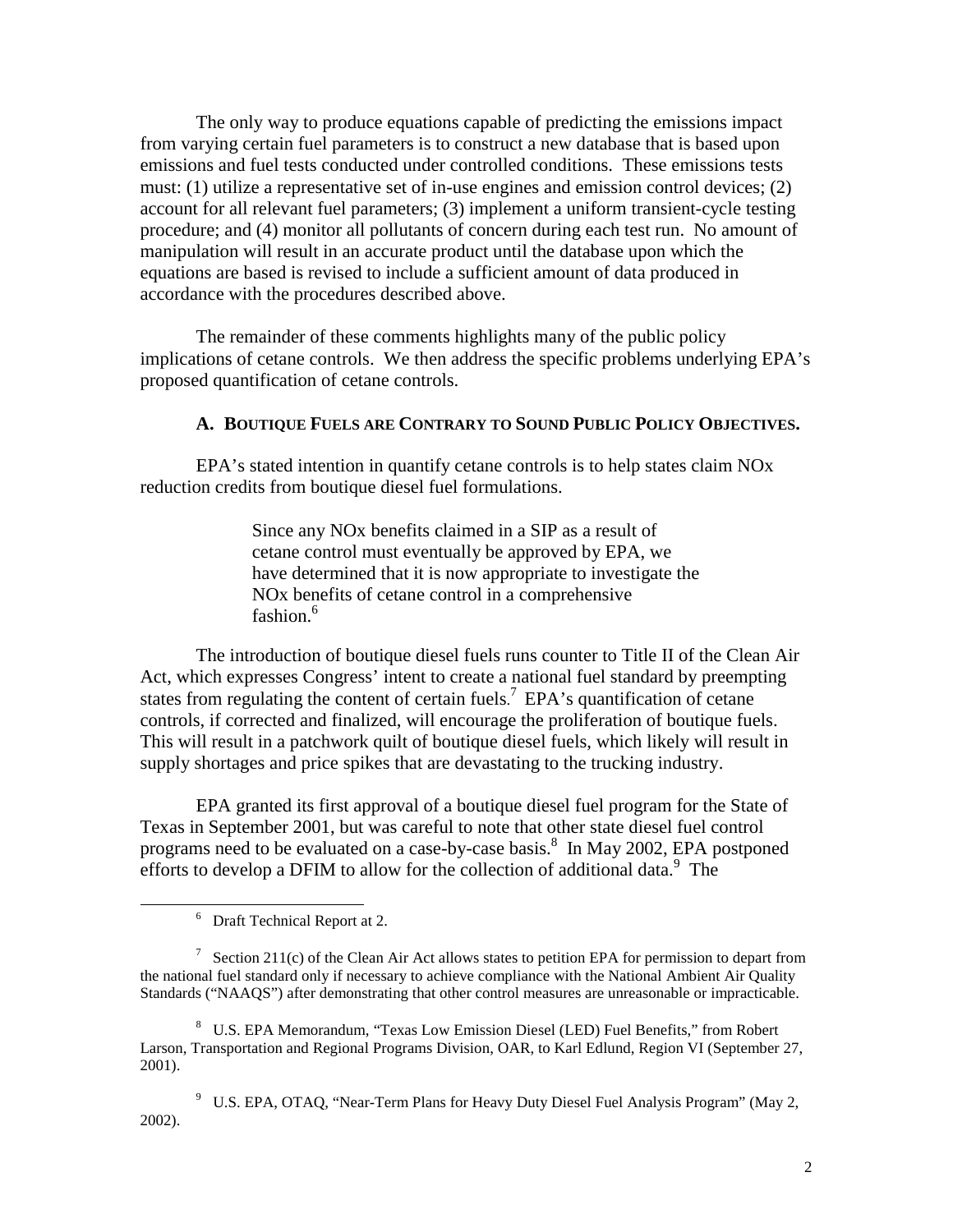The only way to produce equations capable of predicting the emissions impact from varying certain fuel parameters is to construct a new database that is based upon emissions and fuel tests conducted under controlled conditions. These emissions tests must: (1) utilize a representative set of in-use engines and emission control devices; (2) account for all relevant fuel parameters; (3) implement a uniform transient-cycle testing procedure; and (4) monitor all pollutants of concern during each test run. No amount of manipulation will result in an accurate product until the database upon which the equations are based is revised to include a sufficient amount of data produced in accordance with the procedures described above.

The remainder of these comments highlights many of the public policy implications of cetane controls. We then address the specific problems underlying EPA's proposed quantification of cetane controls.

# **A. BOUTIQUE FUELS ARE CONTRARY TO SOUND PUBLIC POLICY OBJECTIVES.**

EPA's stated intention in quantify cetane controls is to help states claim NOx reduction credits from boutique diesel fuel formulations.

> Since any NOx benefits claimed in a SIP as a result of cetane control must eventually be approved by EPA, we have determined that it is now appropriate to investigate the NOx benefits of cetane control in a comprehensive fashion.<sup>6</sup>

 states from regulating the content of certain fuels. 7 EPA's quantification of cetane The introduction of boutique diesel fuels runs counter to Title II of the Clean Air Act, which expresses Congress' intent to create a national fuel standard by preempting controls, if corrected and finalized, will encourage the proliferation of boutique fuels. This will result in a patchwork quilt of boutique diesel fuels, which likely will result in supply shortages and price spikes that are devastating to the trucking industry.

EPA granted its first approval of a boutique diesel fuel program for the State of Texas in September 2001, but was careful to note that other state diesel fuel control programs need to be evaluated on a case-by-case basis.<sup>8</sup> In May 2002, EPA postponed efforts to develop a DFIM to allow for the collection of additional data.<sup>9</sup> The

 $\overline{a}$ 

<sup>&</sup>lt;sup>6</sup> Draft Technical Report at 2.

<sup>&</sup>lt;sup>7</sup> Section 211(c) of the Clean Air Act allows states to petition EPA for permission to depart from the national fuel standard only if necessary to achieve compliance with the National Ambient Air Quality Standards ("NAAQS") after demonstrating that other control measures are unreasonable or impracticable.

<sup>8</sup> U.S. EPA Memorandum, "Texas Low Emission Diesel (LED) Fuel Benefits," from Robert Larson, Transportation and Regional Programs Division, OAR, to Karl Edlund, Region VI (September 27, 2001).

<sup>9</sup> U.S. EPA, OTAQ, "Near-Term Plans for Heavy Duty Diesel Fuel Analysis Program" (May 2, 2002).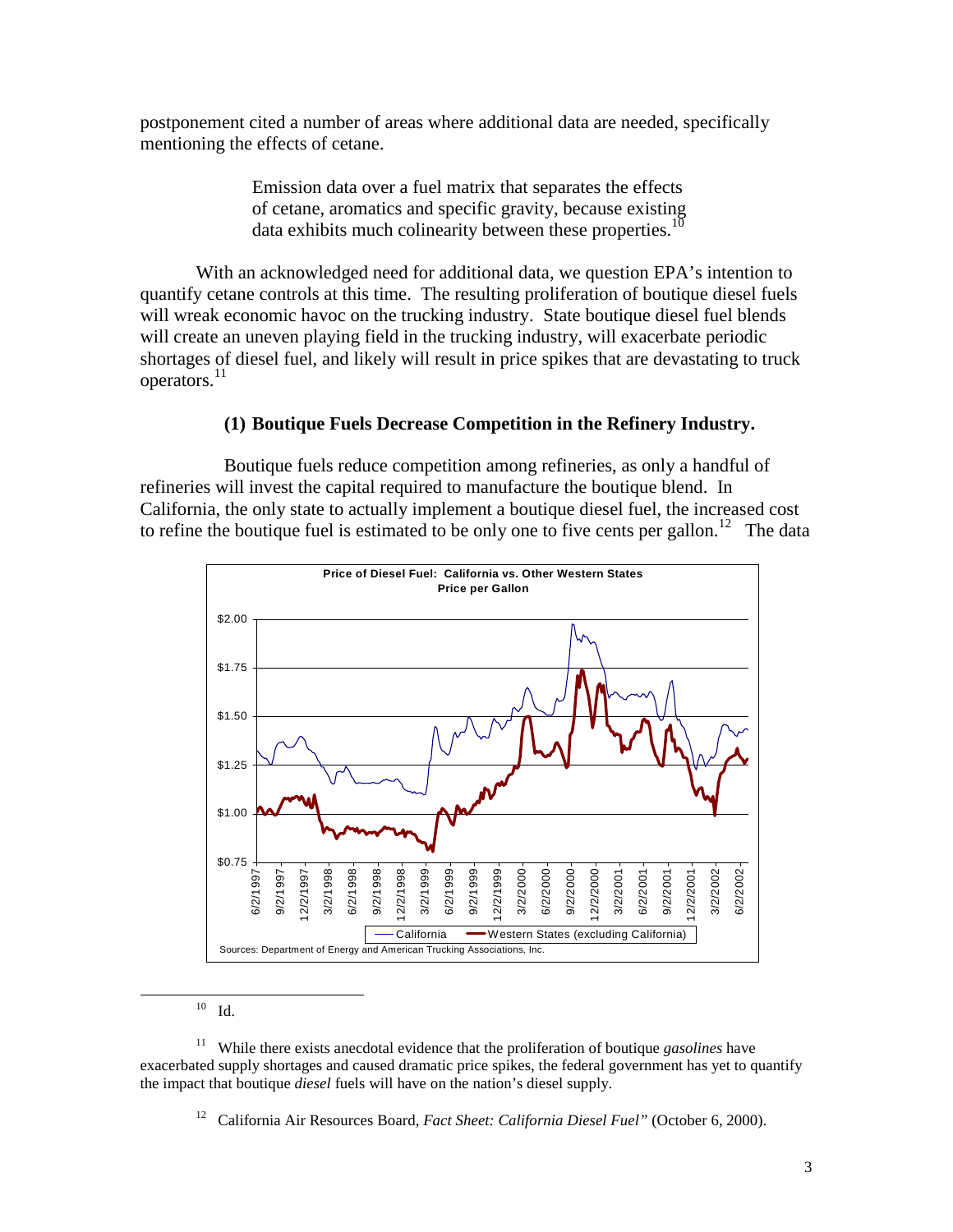postponement cited a number of areas where additional data are needed, specifically mentioning the effects of cetane.

> Emission data over a fuel matrix that separates the effects of cetane, aromatics and specific gravity, because existing data exhibits much colinearity between these properties.<sup>10</sup>

With an acknowledged need for additional data, we question EPA's intention to quantify cetane controls at this time. The resulting proliferation of boutique diesel fuels will wreak economic havoc on the trucking industry. State boutique diesel fuel blends will create an uneven playing field in the trucking industry, will exacerbate periodic shortages of diesel fuel, and likely will result in price spikes that are devastating to truck operators.<sup>11</sup>

## **(1) Boutique Fuels Decrease Competition in the Refinery Industry.**

to refine the boutique fuel is estimated to be only one to five cents per gallon.<sup>12</sup> The data Boutique fuels reduce competition among refineries, as only a handful of refineries will invest the capital required to manufacture the boutique blend. In California, the only state to actually implement a boutique diesel fuel, the increased cost



 $10$  Id.

 $\overline{a}$ 

 the impact that boutique *diesel* fuels will have on the nation's diesel supply. 11 While there exists anecdotal evidence that the proliferation of boutique *gasolines* have exacerbated supply shortages and caused dramatic price spikes, the federal government has yet to quantify

12 California Air Resources Board, *Fact Sheet: California Diesel Fuel"* (October 6, 2000).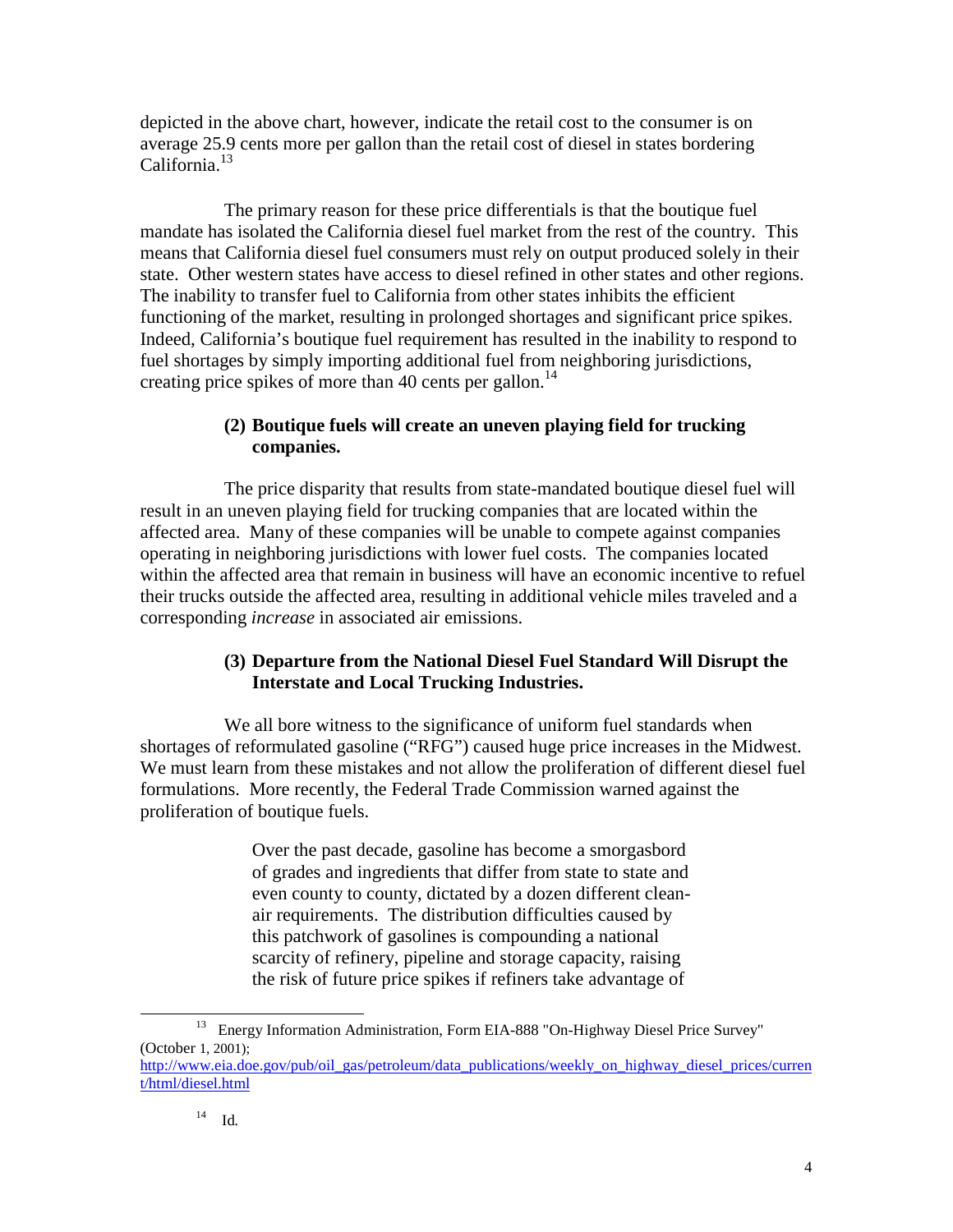depicted in the above chart, however, indicate the retail cost to the consumer is on average 25.9 cents more per gallon than the retail cost of diesel in states bordering California.<sup>13</sup>

The primary reason for these price differentials is that the boutique fuel mandate has isolated the California diesel fuel market from the rest of the country. This means that California diesel fuel consumers must rely on output produced solely in their state. Other western states have access to diesel refined in other states and other regions. The inability to transfer fuel to California from other states inhibits the efficient functioning of the market, resulting in prolonged shortages and significant price spikes. Indeed, California's boutique fuel requirement has resulted in the inability to respond to fuel shortages by simply importing additional fuel from neighboring jurisdictions, creating price spikes of more than 40 cents per gallon.<sup>14</sup>

# **(2) Boutique fuels will create an uneven playing field for trucking companies.**

The price disparity that results from state-mandated boutique diesel fuel will result in an uneven playing field for trucking companies that are located within the affected area. Many of these companies will be unable to compete against companies operating in neighboring jurisdictions with lower fuel costs. The companies located within the affected area that remain in business will have an economic incentive to refuel their trucks outside the affected area, resulting in additional vehicle miles traveled and a corresponding *increase* in associated air emissions.

# **(3) Departure from the National Diesel Fuel Standard Will Disrupt the Interstate and Local Trucking Industries.**

We all bore witness to the significance of uniform fuel standards when shortages of reformulated gasoline ("RFG") caused huge price increases in the Midwest. We must learn from these mistakes and not allow the proliferation of different diesel fuel formulations. More recently, the Federal Trade Commission warned against the proliferation of boutique fuels.

> Over the past decade, gasoline has become a smorgasbord of grades and ingredients that differ from state to state and even county to county, dictated by a dozen different cleanair requirements. The distribution difficulties caused by this patchwork of gasolines is compounding a national scarcity of refinery, pipeline and storage capacity, raising the risk of future price spikes if refiners take advantage of

 $\overline{a}$ 

<sup>13</sup> Energy Information Administration, Form EIA-888 "On-Highway Diesel Price Survey" (October 1, 2001); http://www.eia.doe.gov/pub/oil\_gas/petroleum/data\_publications/weekly\_on\_highway\_diesel\_prices/curren t/html/diesel.html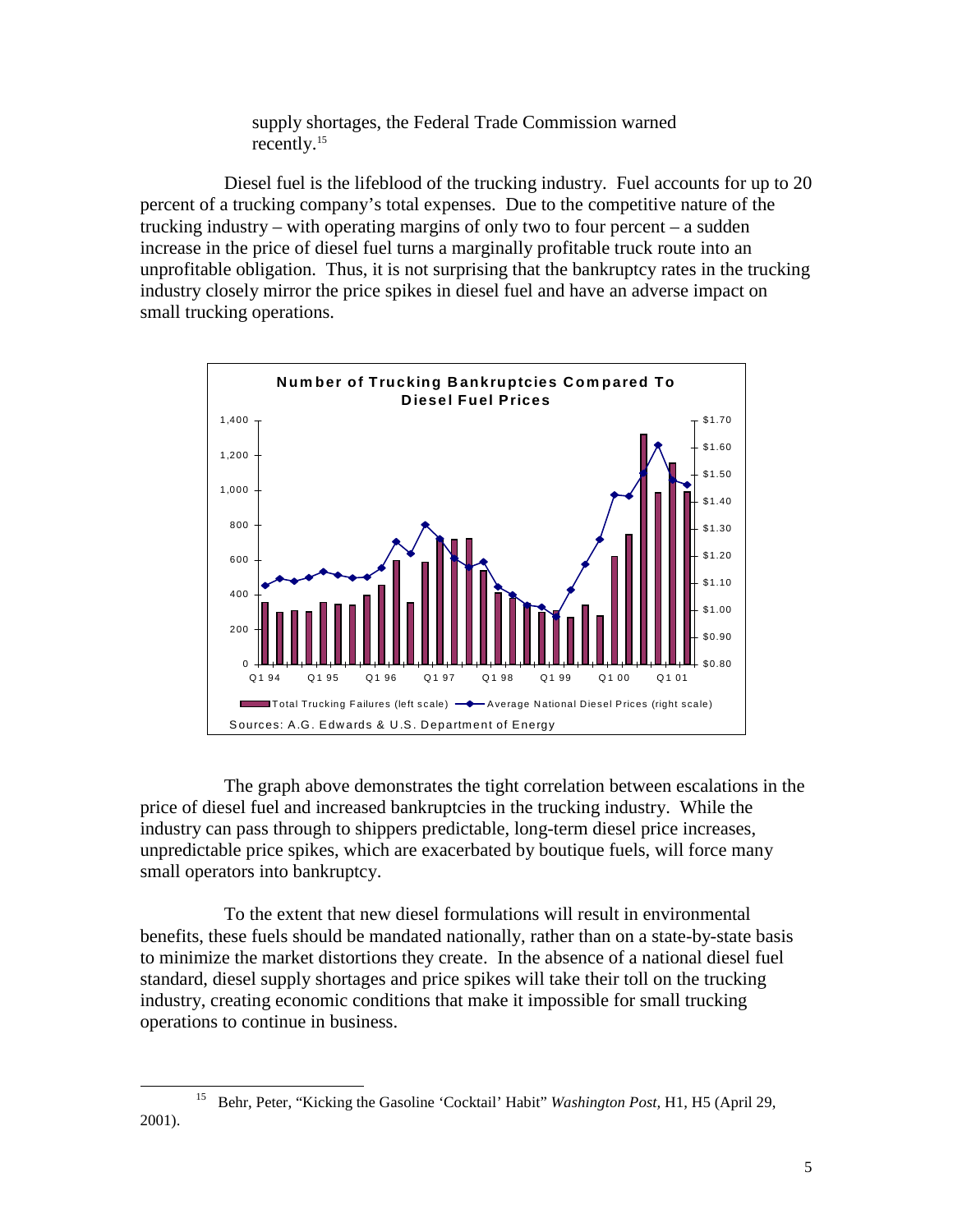supply shortages, the Federal Trade Commission warned recently.<sup>15</sup>

Diesel fuel is the lifeblood of the trucking industry. Fuel accounts for up to 20 percent of a trucking company's total expenses. Due to the competitive nature of the trucking industry – with operating margins of only two to four percent – a sudden increase in the price of diesel fuel turns a marginally profitable truck route into an unprofitable obligation. Thus, it is not surprising that the bankruptcy rates in the trucking industry closely mirror the price spikes in diesel fuel and have an adverse impact on small trucking operations.



The graph above demonstrates the tight correlation between escalations in the price of diesel fuel and increased bankruptcies in the trucking industry. While the industry can pass through to shippers predictable, long-term diesel price increases, unpredictable price spikes, which are exacerbated by boutique fuels, will force many small operators into bankruptcy.

To the extent that new diesel formulations will result in environmental benefits, these fuels should be mandated nationally, rather than on a state-by-state basis to minimize the market distortions they create. In the absence of a national diesel fuel standard, diesel supply shortages and price spikes will take their toll on the trucking industry, creating economic conditions that make it impossible for small trucking operations to continue in business.

 $\overline{a}$ 

<sup>15</sup> Behr, Peter, "Kicking the Gasoline 'Cocktail' Habit" *Washington Post,* H1, H5 (April 29, 2001).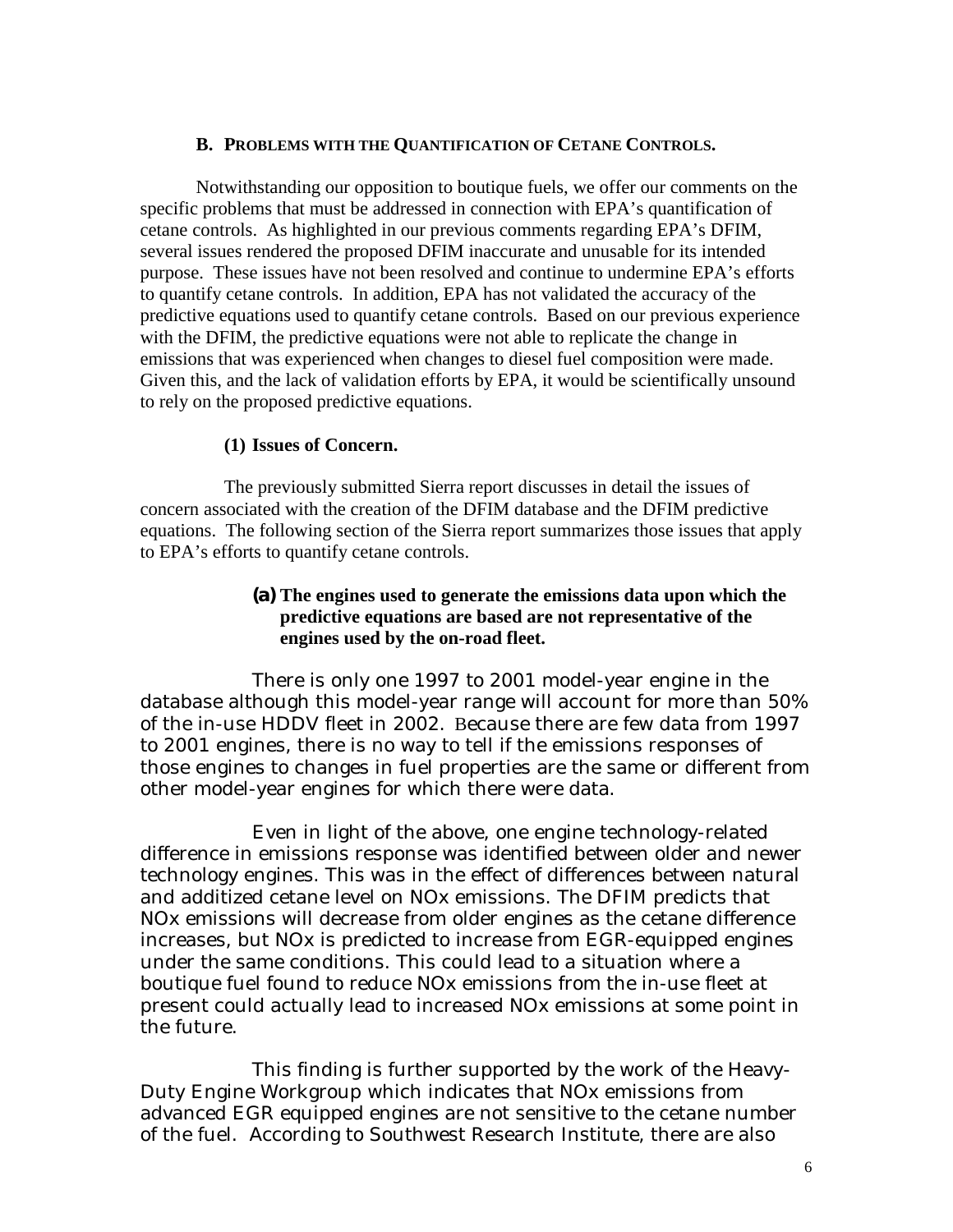#### **B. PROBLEMS WITH THE QUANTIFICATION OF CETANE CONTROLS.**

Notwithstanding our opposition to boutique fuels, we offer our comments on the specific problems that must be addressed in connection with EPA's quantification of cetane controls. As highlighted in our previous comments regarding EPA's DFIM, several issues rendered the proposed DFIM inaccurate and unusable for its intended purpose. These issues have not been resolved and continue to undermine EPA's efforts to quantify cetane controls. In addition, EPA has not validated the accuracy of the predictive equations used to quantify cetane controls. Based on our previous experience with the DFIM, the predictive equations were not able to replicate the change in emissions that was experienced when changes to diesel fuel composition were made. Given this, and the lack of validation efforts by EPA, it would be scientifically unsound to rely on the proposed predictive equations.

### **(1) Issues of Concern.**

The previously submitted Sierra report discusses in detail the issues of concern associated with the creation of the DFIM database and the DFIM predictive equations. The following section of the Sierra report summarizes those issues that apply to EPA's efforts to quantify cetane controls.

# **(a) The engines used to generate the emissions data upon which the predictive equations are based are not representative of the engines used by the on-road fleet.**

There is only one 1997 to 2001 model-year engine in the database although this model-year range will account for more than 50% of the in-use HDDV fleet in 2002. Because there are few data from 1997 to 2001 engines, there is no way to tell if the emissions responses of those engines to changes in fuel properties are the same or different from other model-year engines for which there were data.

Even in light of the above, one engine technology-related difference in emissions response was identified between older and newer technology engines. This was in the effect of differences between natural and additized cetane level on NOx emissions. The DFIM predicts that NOx emissions will decrease from older engines as the cetane difference increases, but NOx is predicted to increase from EGR-equipped engines under the same conditions. This could lead to a situation where a boutique fuel found to reduce NOx emissions from the in-use fleet at present could actually lead to increased NOx emissions at some point in the future.

This finding is further supported by the work of the Heavy-Duty Engine Workgroup which indicates that NOx emissions from advanced EGR equipped engines are not sensitive to the cetane number of the fuel. According to Southwest Research Institute, there are also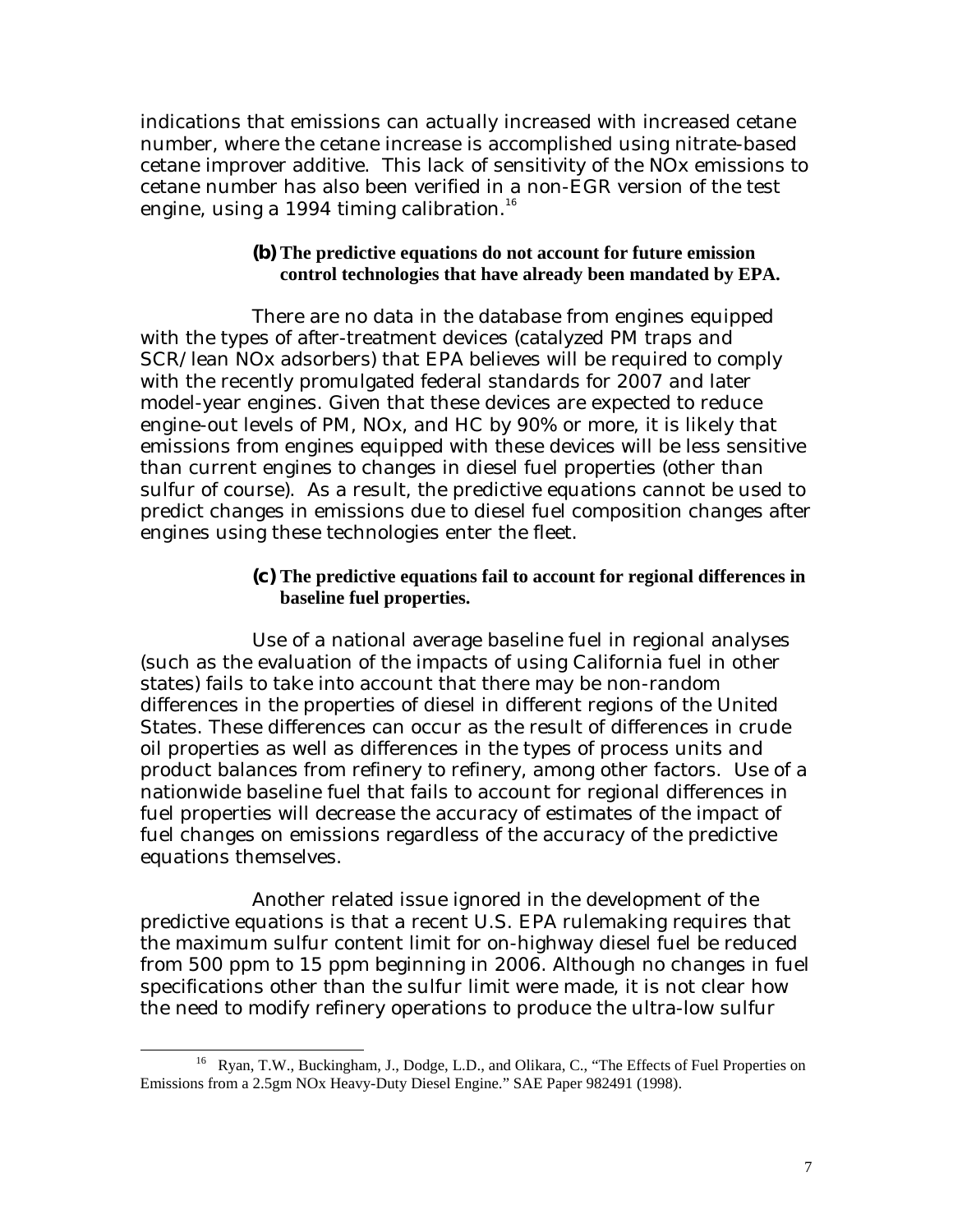indications that emissions can actually increased with increased cetane number, where the cetane increase is accomplished using nitrate-based cetane improver additive. This lack of sensitivity of the NOx emissions to cetane number has also been verified in a non-EGR version of the test engine, using a 1994 timing calibration.<sup>16</sup>

### **(b) The predictive equations do not account for future emission control technologies that have already been mandated by EPA.**

There are no data in the database from engines equipped with the types of after-treatment devices (catalyzed PM traps and SCR/lean NOx adsorbers) that EPA believes will be required to comply with the recently promulgated federal standards for 2007 and later model-year engines. Given that these devices are expected to reduce engine-out levels of PM, NOx, and HC by 90% or more, it is likely that emissions from engines equipped with these devices will be less sensitive than current engines to changes in diesel fuel properties (other than sulfur of course). As a result, the predictive equations cannot be used to predict changes in emissions due to diesel fuel composition changes after engines using these technologies enter the fleet.

> **(c) The predictive equations fail to account for regional differences in baseline fuel properties.**

Use of a national average baseline fuel in regional analyses (such as the evaluation of the impacts of using California fuel in other states) fails to take into account that there may be non-random differences in the properties of diesel in different regions of the United States. These differences can occur as the result of differences in crude oil properties as well as differences in the types of process units and product balances from refinery to refinery, among other factors. Use of a nationwide baseline fuel that fails to account for regional differences in fuel properties will decrease the accuracy of estimates of the impact of fuel changes on emissions regardless of the accuracy of the predictive equations themselves.

Another related issue ignored in the development of the predictive equations is that a recent U.S. EPA rulemaking requires that the maximum sulfur content limit for on-highway diesel fuel be reduced from 500 ppm to 15 ppm beginning in 2006. Although no changes in fuel specifications other than the sulfur limit were made, it is not clear how the need to modify refinery operations to produce the ultra-low sulfur

 $\overline{a}$ <sup>16</sup> Ryan, T.W., Buckingham, J., Dodge, L.D., and Olikara, C., "The Effects of Fuel Properties on Emissions from a 2.5gm NOx Heavy-Duty Diesel Engine." SAE Paper 982491 (1998).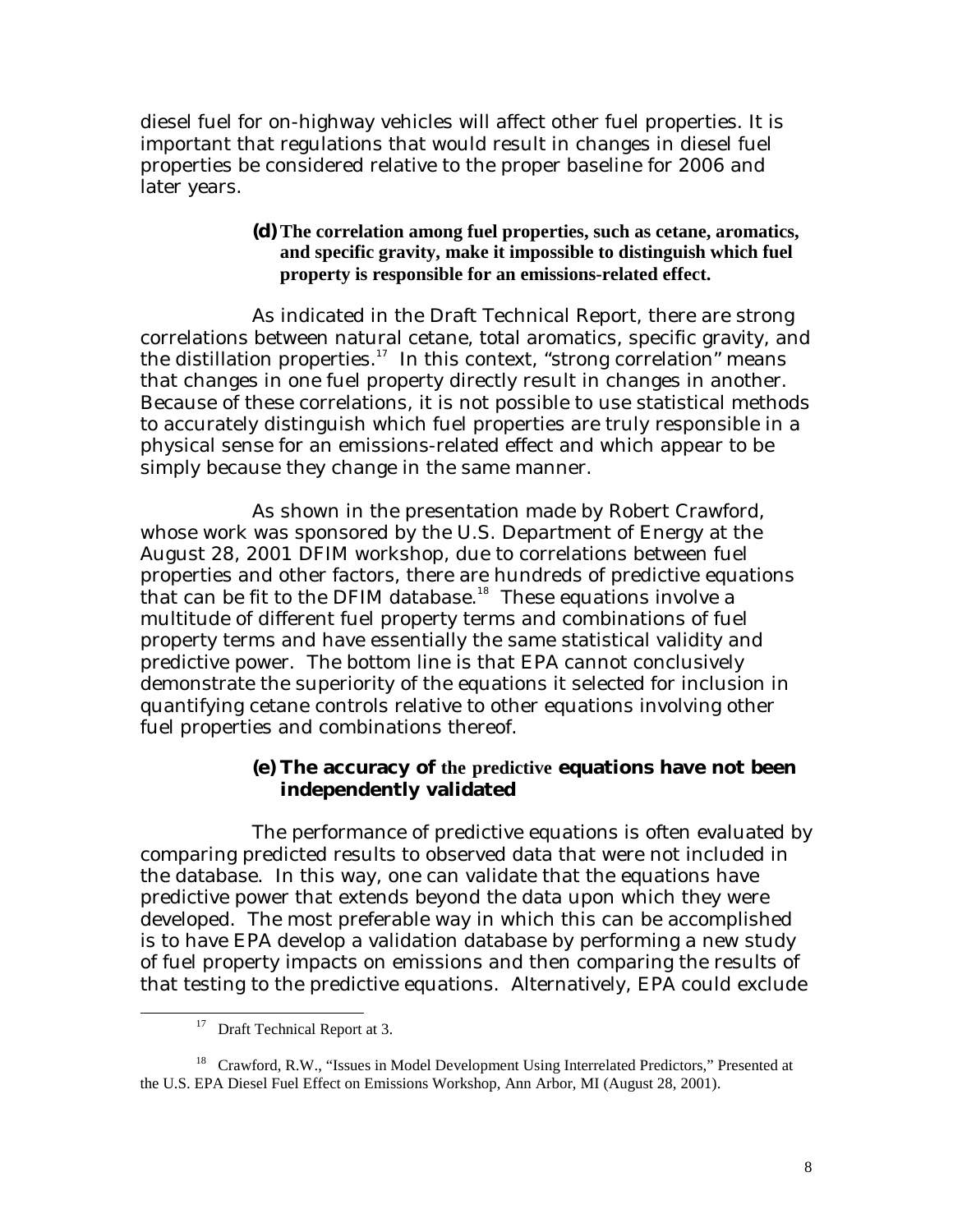diesel fuel for on-highway vehicles will affect other fuel properties. It is important that regulations that would result in changes in diesel fuel properties be considered relative to the proper baseline for 2006 and later years.

> **(d) The correlation among fuel properties, such as cetane, aromatics, and specific gravity, make it impossible to distinguish which fuel property is responsible for an emissions-related effect.**

As indicated in the Draft Technical Report, there are strong correlations between natural cetane, total aromatics, specific gravity, and the distillation properties.<sup>17</sup> In this context, "strong correlation" means that changes in one fuel property directly result in changes in another. Because of these correlations, it is not possible to use statistical methods to accurately distinguish which fuel properties are truly responsible in a physical sense for an emissions-related effect and which appear to be simply because they change in the same manner.

As shown in the presentation made by Robert Crawford, whose work was sponsored by the U.S. Department of Energy at the August 28, 2001 DFIM workshop, due to correlations between fuel properties and other factors, there are hundreds of predictive equations that can be fit to the DFIM database.<sup>18</sup> These equations involve a multitude of different fuel property terms and combinations of fuel property terms and have essentially the same statistical validity and predictive power. The bottom line is that EPA cannot conclusively demonstrate the superiority of the equations it selected for inclusion in quantifying cetane controls relative to other equations involving other fuel properties and combinations thereof.

## **(e) The accuracy of the predictive equations have not been independently validated**

The performance of predictive equations is often evaluated by comparing predicted results to observed data that were not included in the database. In this way, one can validate that the equations have predictive power that extends beyond the data upon which they were developed. The most preferable way in which this can be accomplished is to have EPA develop a validation database by performing a new study of fuel property impacts on emissions and then comparing the results of that testing to the predictive equations. Alternatively, EPA could exclude

 $\overline{a}$ 

<sup>&</sup>lt;sup>17</sup> Draft Technical Report at 3.

<sup>&</sup>lt;sup>18</sup> Crawford, R.W., "Issues in Model Development Using Interrelated Predictors," Presented at the U.S. EPA Diesel Fuel Effect on Emissions Workshop, Ann Arbor, MI (August 28, 2001).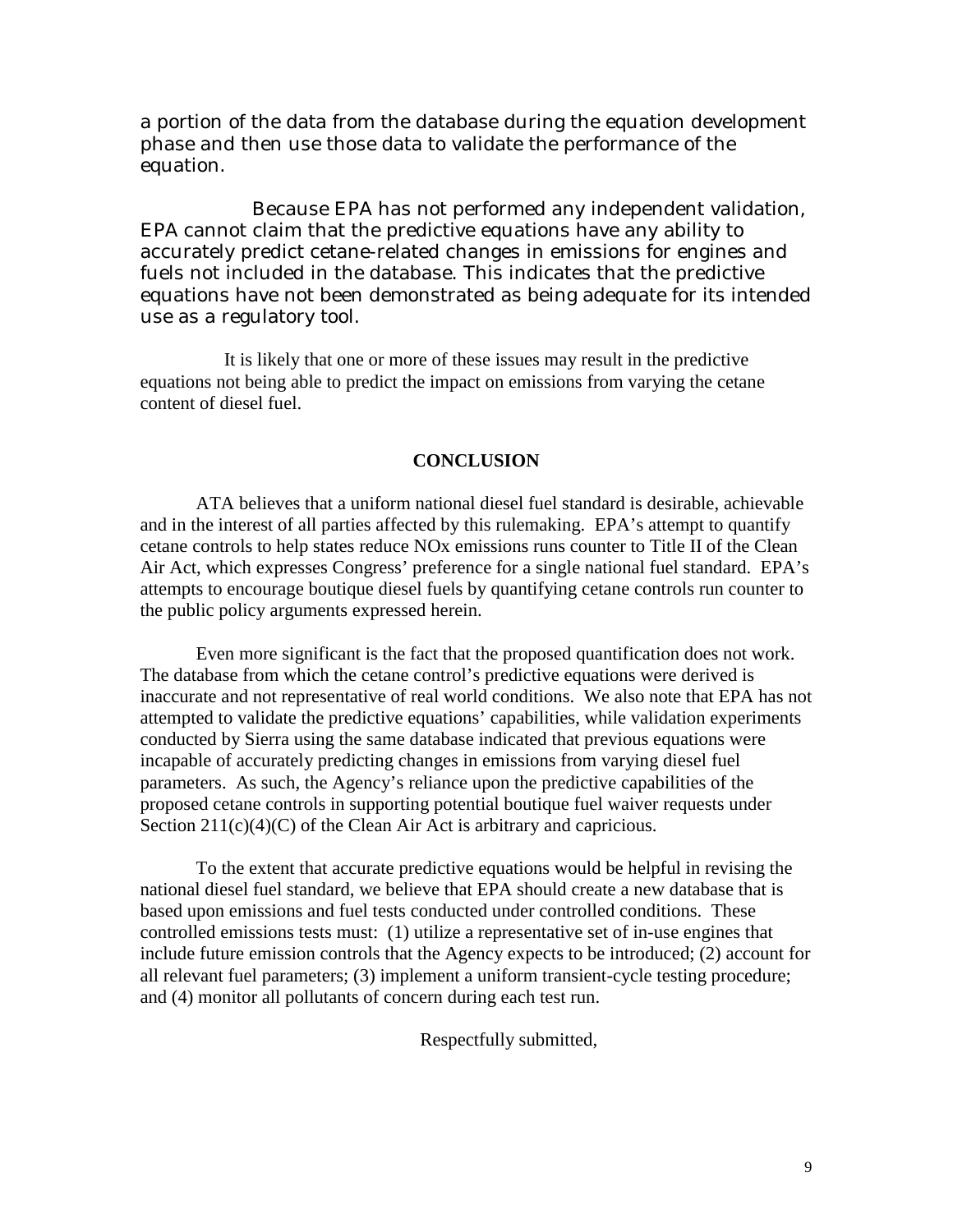a portion of the data from the database during the equation development phase and then use those data to validate the performance of the equation.

Because EPA has not performed any independent validation, EPA cannot claim that the predictive equations have any ability to accurately predict cetane-related changes in emissions for engines and fuels not included in the database. This indicates that the predictive equations have not been demonstrated as being adequate for its intended use as a regulatory tool.

It is likely that one or more of these issues may result in the predictive equations not being able to predict the impact on emissions from varying the cetane content of diesel fuel.

#### **CONCLUSION**

ATA believes that a uniform national diesel fuel standard is desirable, achievable and in the interest of all parties affected by this rulemaking. EPA's attempt to quantify cetane controls to help states reduce NOx emissions runs counter to Title II of the Clean Air Act, which expresses Congress' preference for a single national fuel standard. EPA's attempts to encourage boutique diesel fuels by quantifying cetane controls run counter to the public policy arguments expressed herein.

Even more significant is the fact that the proposed quantification does not work. The database from which the cetane control's predictive equations were derived is inaccurate and not representative of real world conditions. We also note that EPA has not attempted to validate the predictive equations' capabilities, while validation experiments conducted by Sierra using the same database indicated that previous equations were incapable of accurately predicting changes in emissions from varying diesel fuel parameters. As such, the Agency's reliance upon the predictive capabilities of the proposed cetane controls in supporting potential boutique fuel waiver requests under Section  $211(c)(4)(C)$  of the Clean Air Act is arbitrary and capricious.

To the extent that accurate predictive equations would be helpful in revising the national diesel fuel standard, we believe that EPA should create a new database that is based upon emissions and fuel tests conducted under controlled conditions. These controlled emissions tests must: (1) utilize a representative set of in-use engines that include future emission controls that the Agency expects to be introduced; (2) account for all relevant fuel parameters; (3) implement a uniform transient-cycle testing procedure; and (4) monitor all pollutants of concern during each test run.

Respectfully submitted,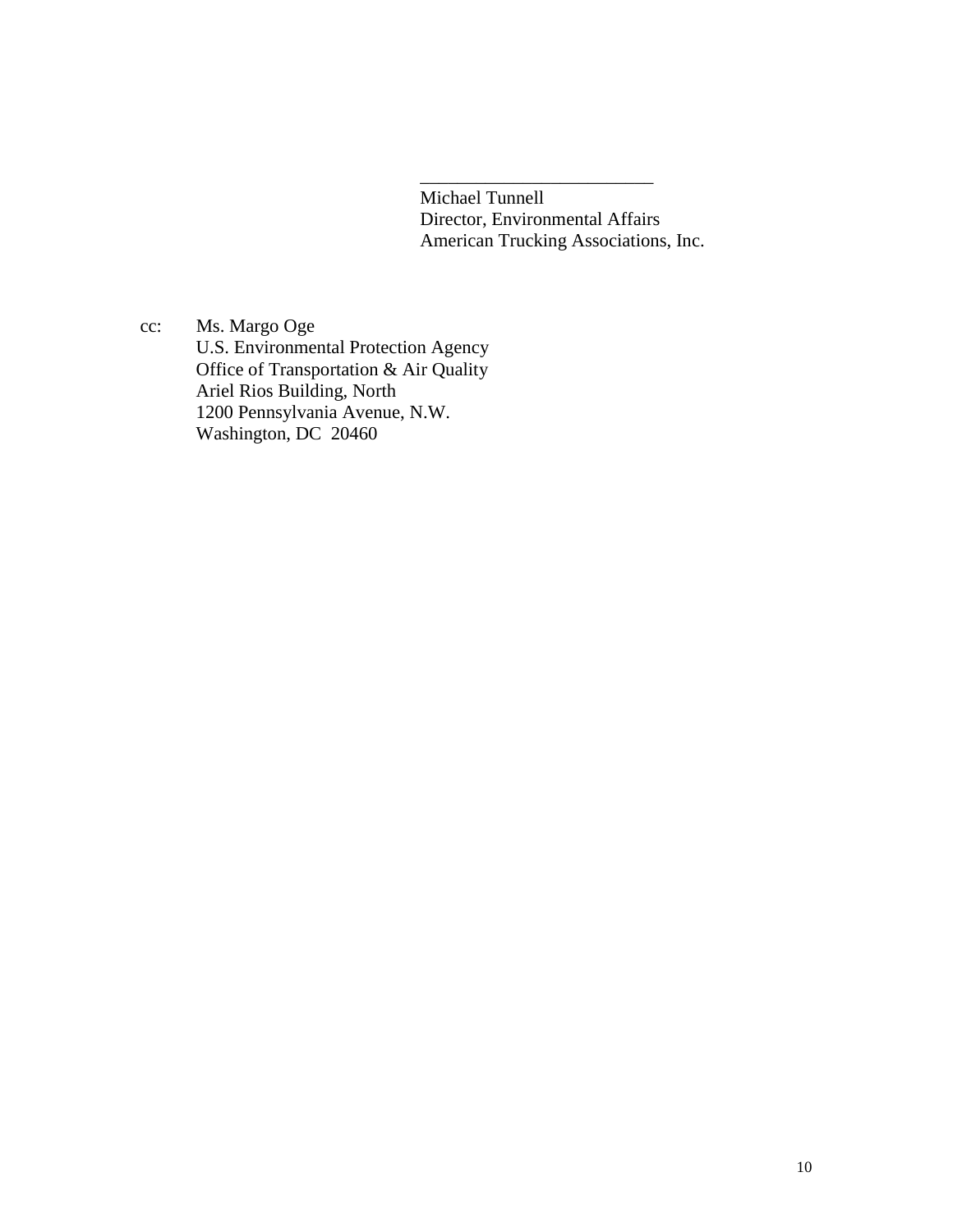Michael Tunnell Director, Environmental Affairs American Trucking Associations, Inc.

\_\_\_\_\_\_\_\_\_\_\_\_\_\_\_\_\_\_\_\_\_\_\_\_\_

cc: Ms. Margo Oge U.S. Environmental Protection Agency Office of Transportation & Air Quality Ariel Rios Building, North 1200 Pennsylvania Avenue, N.W. Washington, DC 20460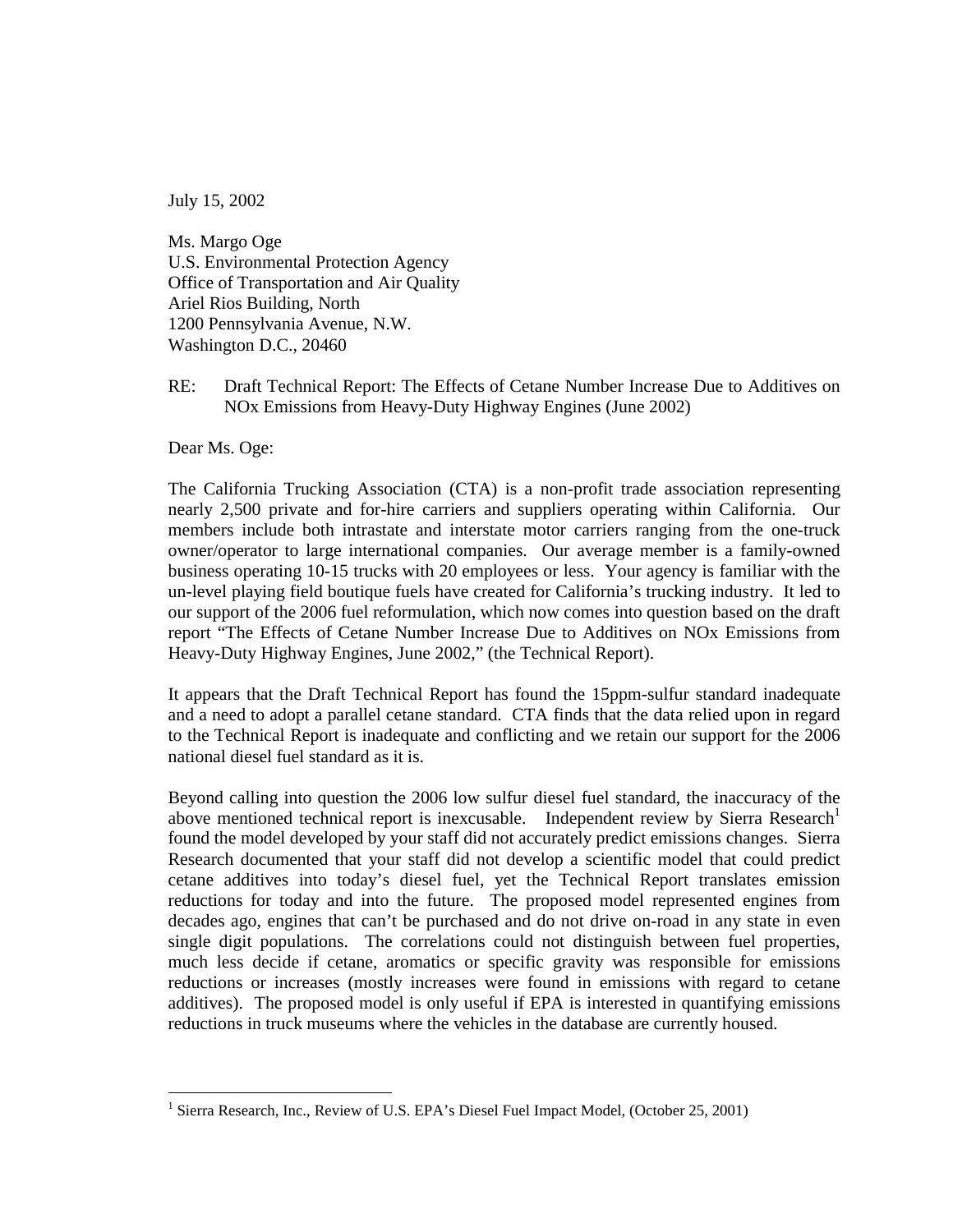July 15, 2002

Ms. Margo Oge U.S. Environmental Protection Agency Office of Transportation and Air Quality Ariel Rios Building, North 1200 Pennsylvania Avenue, N.W. Washington D.C., 20460

RE: Draft Technical Report: The Effects of Cetane Number Increase Due to Additives on NOx Emissions from Heavy-Duty Highway Engines (June 2002)

Dear Ms. Oge:

 un-level playing field boutique fuels have created for California's trucking industry. It led to The California Trucking Association (CTA) is a non-profit trade association representing nearly 2,500 private and for-hire carriers and suppliers operating within California. Our members include both intrastate and interstate motor carriers ranging from the one-truck owner/operator to large international companies. Our average member is a family-owned business operating 10-15 trucks with 20 employees or less. Your agency is familiar with the our support of the 2006 fuel reformulation, which now comes into question based on the draft report "The Effects of Cetane Number Increase Due to Additives on NOx Emissions from Heavy-Duty Highway Engines, June 2002," (the Technical Report).

It appears that the Draft Technical Report has found the 15ppm-sulfur standard inadequate and a need to adopt a parallel cetane standard. CTA finds that the data relied upon in regard to the Technical Report is inadequate and conflicting and we retain our support for the 2006 national diesel fuel standard as it is.

Beyond calling into question the 2006 low sulfur diesel fuel standard, the inaccuracy of the above mentioned technical report is inexcusable. Independent review by Sierra Research<sup>1</sup> found the model developed by your staff did not accurately predict emissions changes. Sierra Research documented that your staff did not develop a scientific model that could predict cetane additives into today's diesel fuel, yet the Technical Report translates emission reductions for today and into the future. The proposed model represented engines from decades ago, engines that can't be purchased and do not drive on-road in any state in even single digit populations. The correlations could not distinguish between fuel properties, much less decide if cetane, aromatics or specific gravity was responsible for emissions reductions or increases (mostly increases were found in emissions with regard to cetane additives). The proposed model is only useful if EPA is interested in quantifying emissions reductions in truck museums where the vehicles in the database are currently housed.

 1 Sierra Research, Inc., Review of U.S. EPA's Diesel Fuel Impact Model, (October 25, 2001)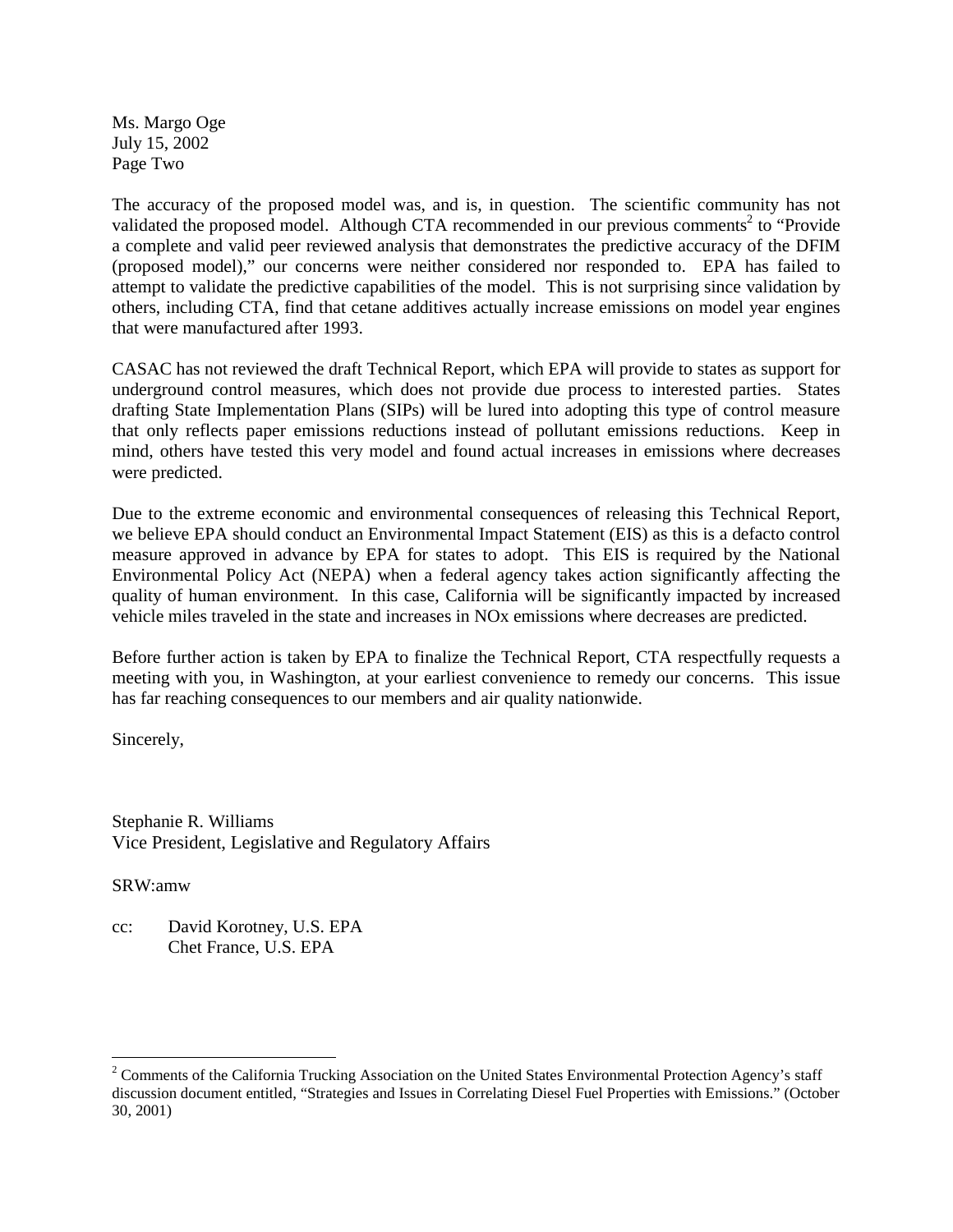Ms. Margo Oge July 15, 2002 Page Two

 attempt to validate the predictive capabilities of the model. This is not surprising since validation by others, including CTA, find that cetane additives actually increase emissions on model year engines The accuracy of the proposed model was, and is, in question. The scientific community has not validated the proposed model. Although CTA recommended in our previous comments<sup>2</sup> to "Provide a complete and valid peer reviewed analysis that demonstrates the predictive accuracy of the DFIM (proposed model)," our concerns were neither considered nor responded to. EPA has failed to that were manufactured after 1993.

 drafting State Implementation Plans (SIPs) will be lured into adopting this type of control measure CASAC has not reviewed the draft Technical Report, which EPA will provide to states as support for underground control measures, which does not provide due process to interested parties. States that only reflects paper emissions reductions instead of pollutant emissions reductions. Keep in mind, others have tested this very model and found actual increases in emissions where decreases were predicted.

Due to the extreme economic and environmental consequences of releasing this Technical Report, we believe EPA should conduct an Environmental Impact Statement (EIS) as this is a defacto control measure approved in advance by EPA for states to adopt. This EIS is required by the National Environmental Policy Act (NEPA) when a federal agency takes action significantly affecting the quality of human environment. In this case, California will be significantly impacted by increased vehicle miles traveled in the state and increases in NOx emissions where decreases are predicted.

Before further action is taken by EPA to finalize the Technical Report, CTA respectfully requests a meeting with you, in Washington, at your earliest convenience to remedy our concerns. This issue has far reaching consequences to our members and air quality nationwide.

Sincerely,

Stephanie R. Williams Vice President, Legislative and Regulatory Affairs

SRW:amw

 $\overline{a}$ 

cc: David Korotney, U.S. EPA Chet France, U.S. EPA

 $2^2$  Comments of the California Trucking Association on the United States Environmental Protection Agency's staff discussion document entitled, "Strategies and Issues in Correlating Diesel Fuel Properties with Emissions." (October 30, 2001)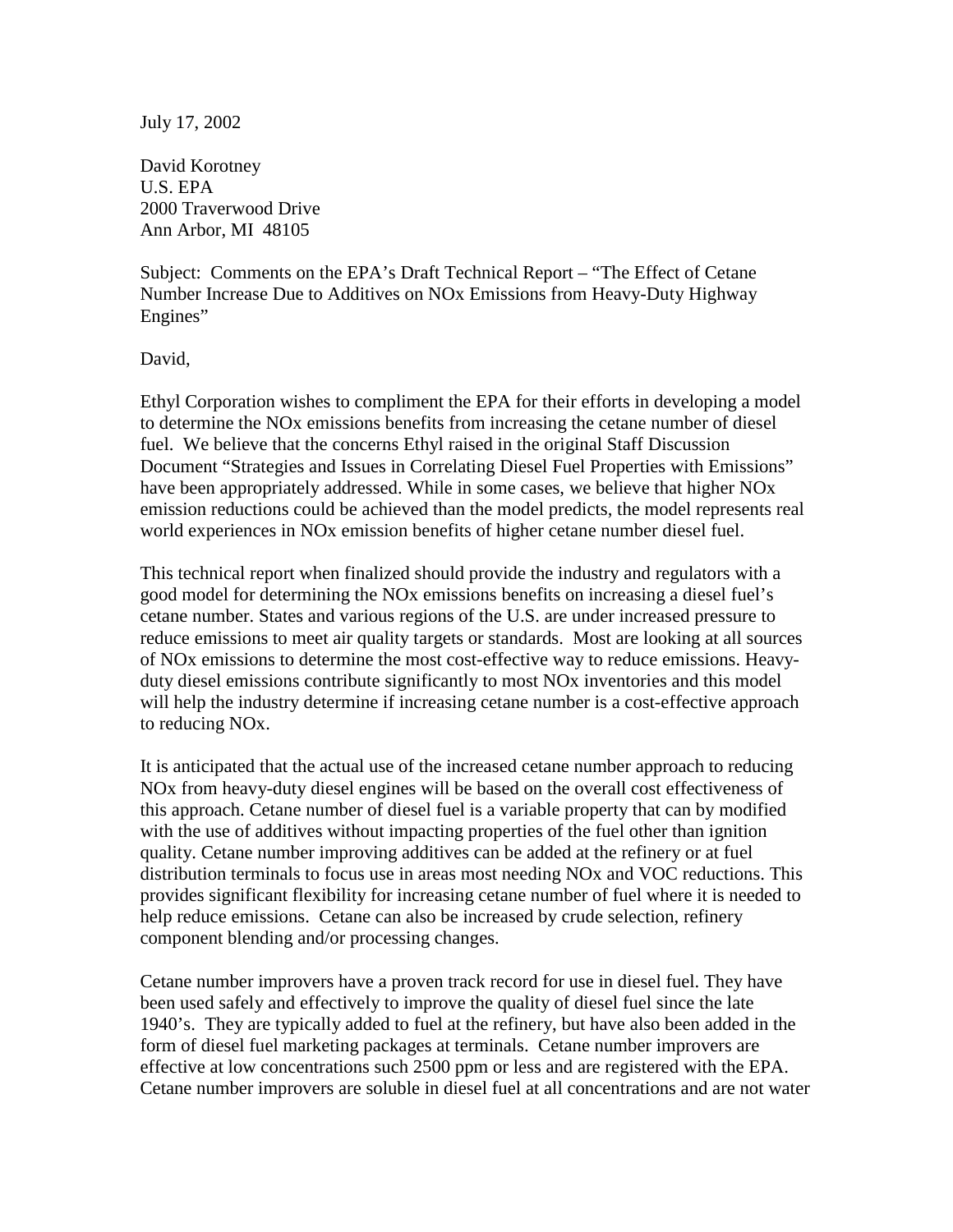July 17, 2002

David Korotney U.S. EPA 2000 Traverwood Drive Ann Arbor, MI 48105

Subject: Comments on the EPA's Draft Technical Report – "The Effect of Cetane Number Increase Due to Additives on NOx Emissions from Heavy-Duty Highway Engines"

David,

 Document "Strategies and Issues in Correlating Diesel Fuel Properties with Emissions" Ethyl Corporation wishes to compliment the EPA for their efforts in developing a model to determine the NOx emissions benefits from increasing the cetane number of diesel fuel. We believe that the concerns Ethyl raised in the original Staff Discussion have been appropriately addressed. While in some cases, we believe that higher NOx emission reductions could be achieved than the model predicts, the model represents real world experiences in NOx emission benefits of higher cetane number diesel fuel.

This technical report when finalized should provide the industry and regulators with a good model for determining the NOx emissions benefits on increasing a diesel fuel's cetane number. States and various regions of the U.S. are under increased pressure to reduce emissions to meet air quality targets or standards. Most are looking at all sources of NOx emissions to determine the most cost-effective way to reduce emissions. Heavyduty diesel emissions contribute significantly to most NOx inventories and this model will help the industry determine if increasing cetane number is a cost-effective approach to reducing NOx.

It is anticipated that the actual use of the increased cetane number approach to reducing NOx from heavy-duty diesel engines will be based on the overall cost effectiveness of this approach. Cetane number of diesel fuel is a variable property that can by modified with the use of additives without impacting properties of the fuel other than ignition quality. Cetane number improving additives can be added at the refinery or at fuel distribution terminals to focus use in areas most needing NOx and VOC reductions. This provides significant flexibility for increasing cetane number of fuel where it is needed to help reduce emissions. Cetane can also be increased by crude selection, refinery component blending and/or processing changes.

Cetane number improvers have a proven track record for use in diesel fuel. They have been used safely and effectively to improve the quality of diesel fuel since the late 1940's. They are typically added to fuel at the refinery, but have also been added in the form of diesel fuel marketing packages at terminals. Cetane number improvers are effective at low concentrations such 2500 ppm or less and are registered with the EPA. Cetane number improvers are soluble in diesel fuel at all concentrations and are not water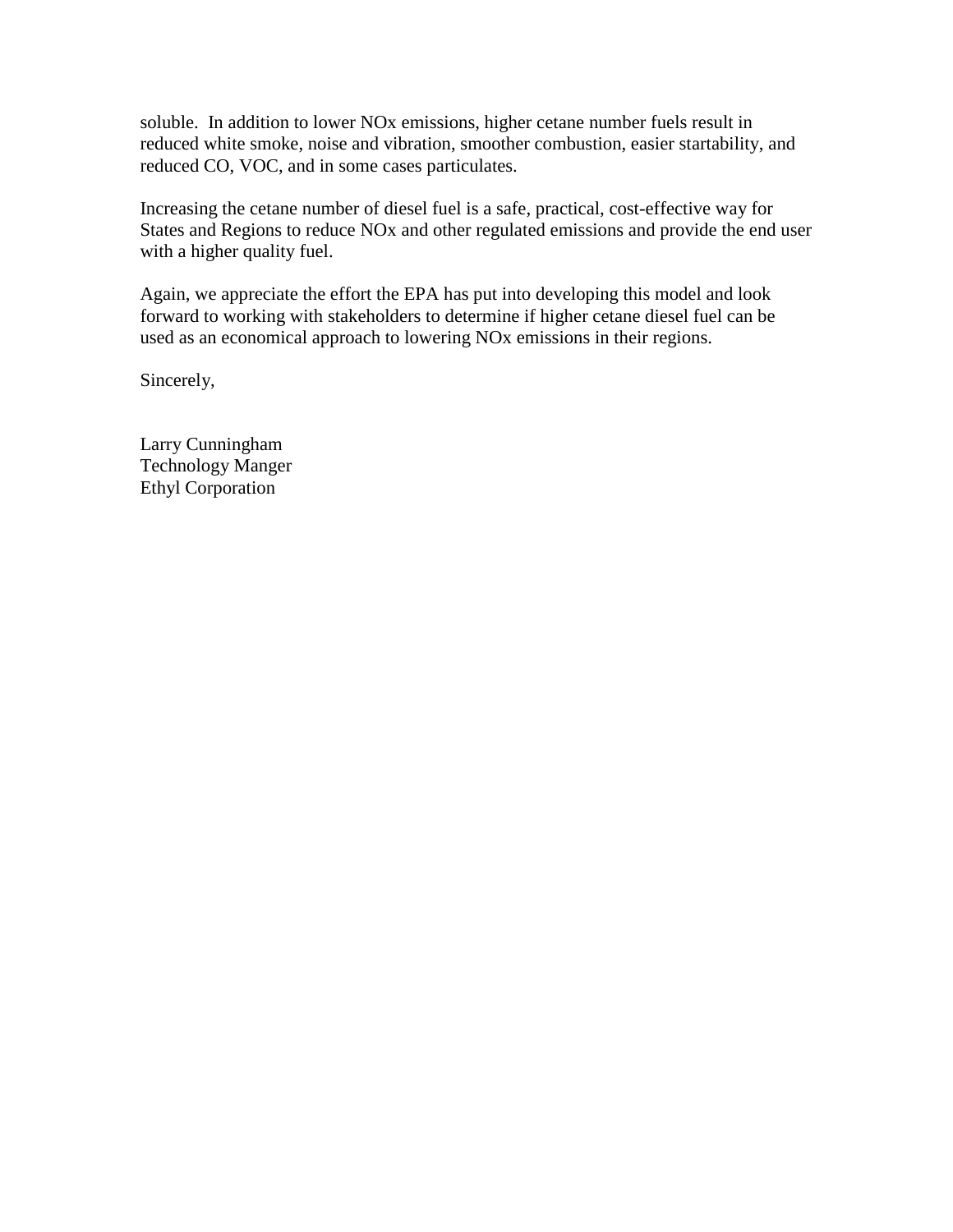soluble. In addition to lower NOx emissions, higher cetane number fuels result in reduced white smoke, noise and vibration, smoother combustion, easier startability, and reduced CO, VOC, and in some cases particulates.

Increasing the cetane number of diesel fuel is a safe, practical, cost-effective way for States and Regions to reduce NOx and other regulated emissions and provide the end user with a higher quality fuel.

Again, we appreciate the effort the EPA has put into developing this model and look forward to working with stakeholders to determine if higher cetane diesel fuel can be used as an economical approach to lowering NOx emissions in their regions.

Sincerely,

Larry Cunningham Technology Manger Ethyl Corporation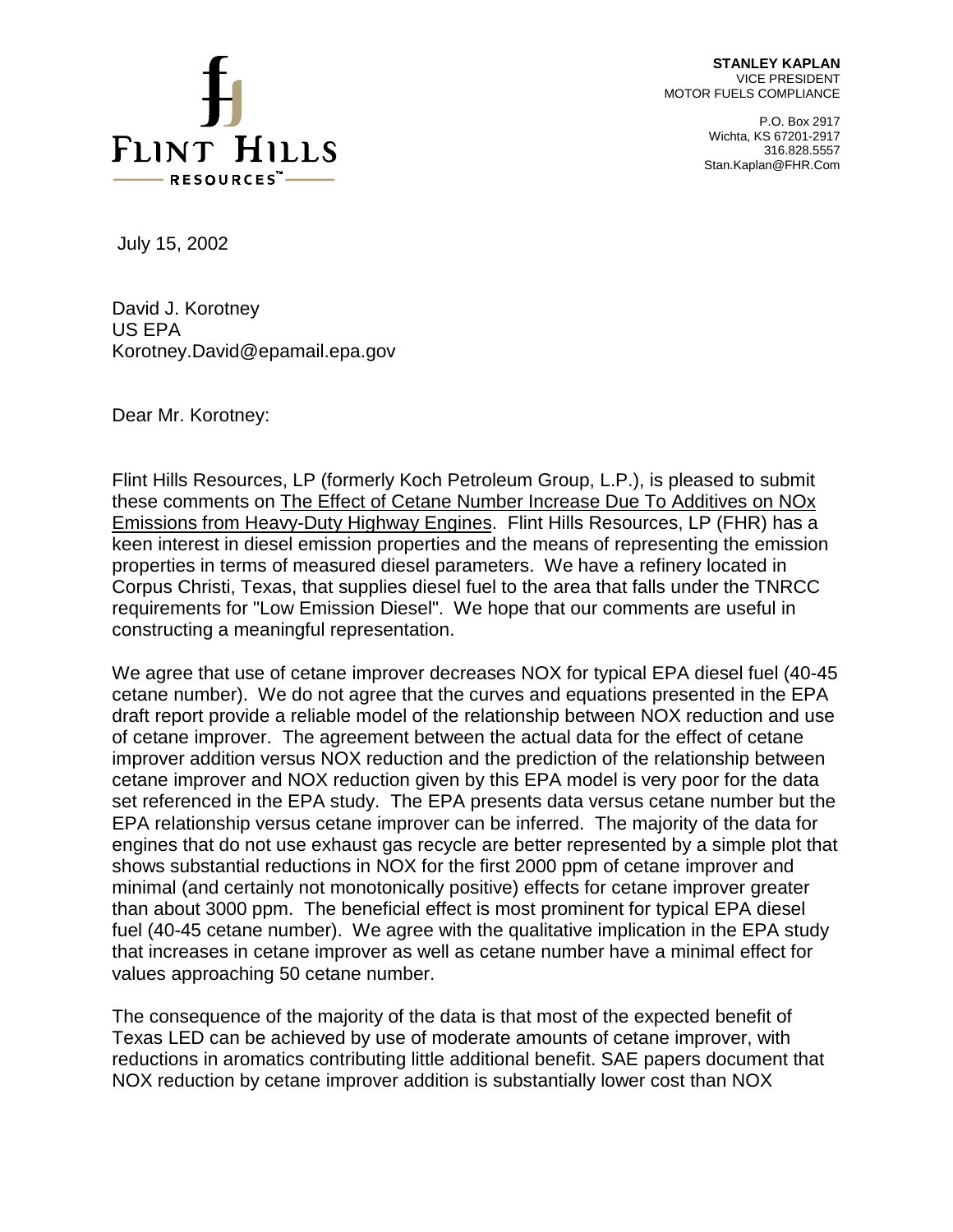

**STANLEY KAPLAN**  VICE PRESIDENT MOTOR FUELS COMPLIANCE

> P.O. Box 2917 Wichta, KS 67201-2917 316.828.5557 Stan.Kaplan@FHR.Com

July 15, 2002

David J. Korotney US EPA Korotney.David@epamail.epa.gov

Dear Mr. Korotney:

 Corpus Christi, Texas, that supplies diesel fuel to the area that falls under the TNRCC requirements for "Low Emission Diesel". We hope that our comments are useful in Flint Hills Resources, LP (formerly Koch Petroleum Group, L.P.), is pleased to submit these comments on The Effect of Cetane Number Increase Due To Additives on NOx Emissions from Heavy-Duty Highway Engines. Flint Hills Resources, LP (FHR) has a keen interest in diesel emission properties and the means of representing the emission properties in terms of measured diesel parameters. We have a refinery located in constructing a meaningful representation.

 cetane number). We do not agree that the curves and equations presented in the EPA draft report provide a reliable model of the relationship between NOX reduction and use fuel (40-45 cetane number). We agree with the qualitative implication in the EPA study We agree that use of cetane improver decreases NOX for typical EPA diesel fuel (40-45 of cetane improver. The agreement between the actual data for the effect of cetane improver addition versus NOX reduction and the prediction of the relationship between cetane improver and NOX reduction given by this EPA model is very poor for the data set referenced in the EPA study. The EPA presents data versus cetane number but the EPA relationship versus cetane improver can be inferred. The majority of the data for engines that do not use exhaust gas recycle are better represented by a simple plot that shows substantial reductions in NOX for the first 2000 ppm of cetane improver and minimal (and certainly not monotonically positive) effects for cetane improver greater than about 3000 ppm. The beneficial effect is most prominent for typical EPA diesel that increases in cetane improver as well as cetane number have a minimal effect for values approaching 50 cetane number.

The consequence of the majority of the data is that most of the expected benefit of Texas LED can be achieved by use of moderate amounts of cetane improver, with reductions in aromatics contributing little additional benefit. SAE papers document that NOX reduction by cetane improver addition is substantially lower cost than NOX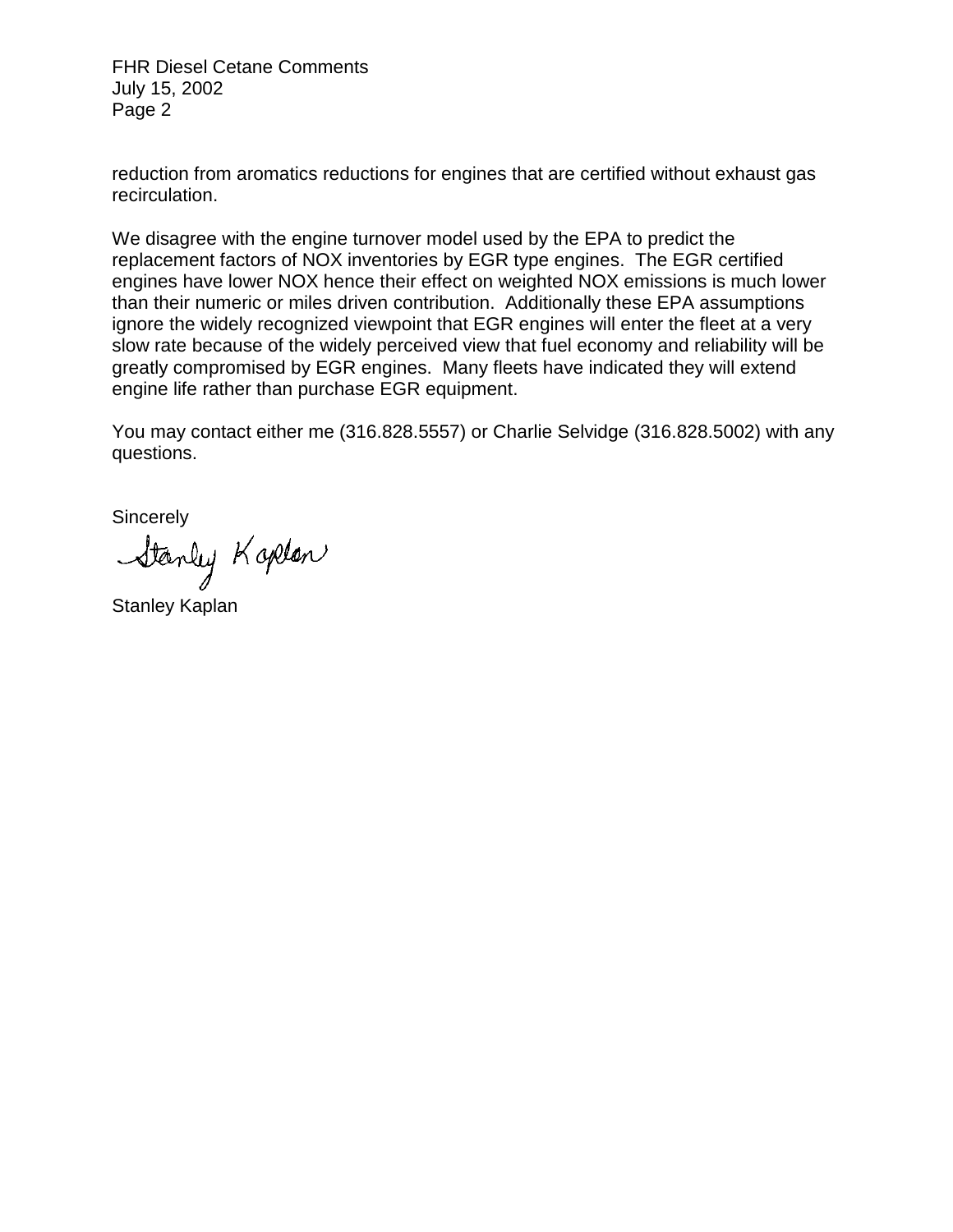FHR Diesel Cetane Comments July 15, 2002 Page 2

reduction from aromatics reductions for engines that are certified without exhaust gas recirculation.

We disagree with the engine turnover model used by the EPA to predict the replacement factors of NOX inventories by EGR type engines. The EGR certified engines have lower NOX hence their effect on weighted NOX emissions is much lower than their numeric or miles driven contribution. Additionally these EPA assumptions ignore the widely recognized viewpoint that EGR engines will enter the fleet at a very slow rate because of the widely perceived view that fuel economy and reliability will be greatly compromised by EGR engines. Many fleets have indicated they will extend engine life rather than purchase EGR equipment.

You may contact either me (316.828.5557) or Charlie Selvidge (316.828.5002) with any questions.

**Sincerely** 

Stanley Kaplon

Stanley Kaplan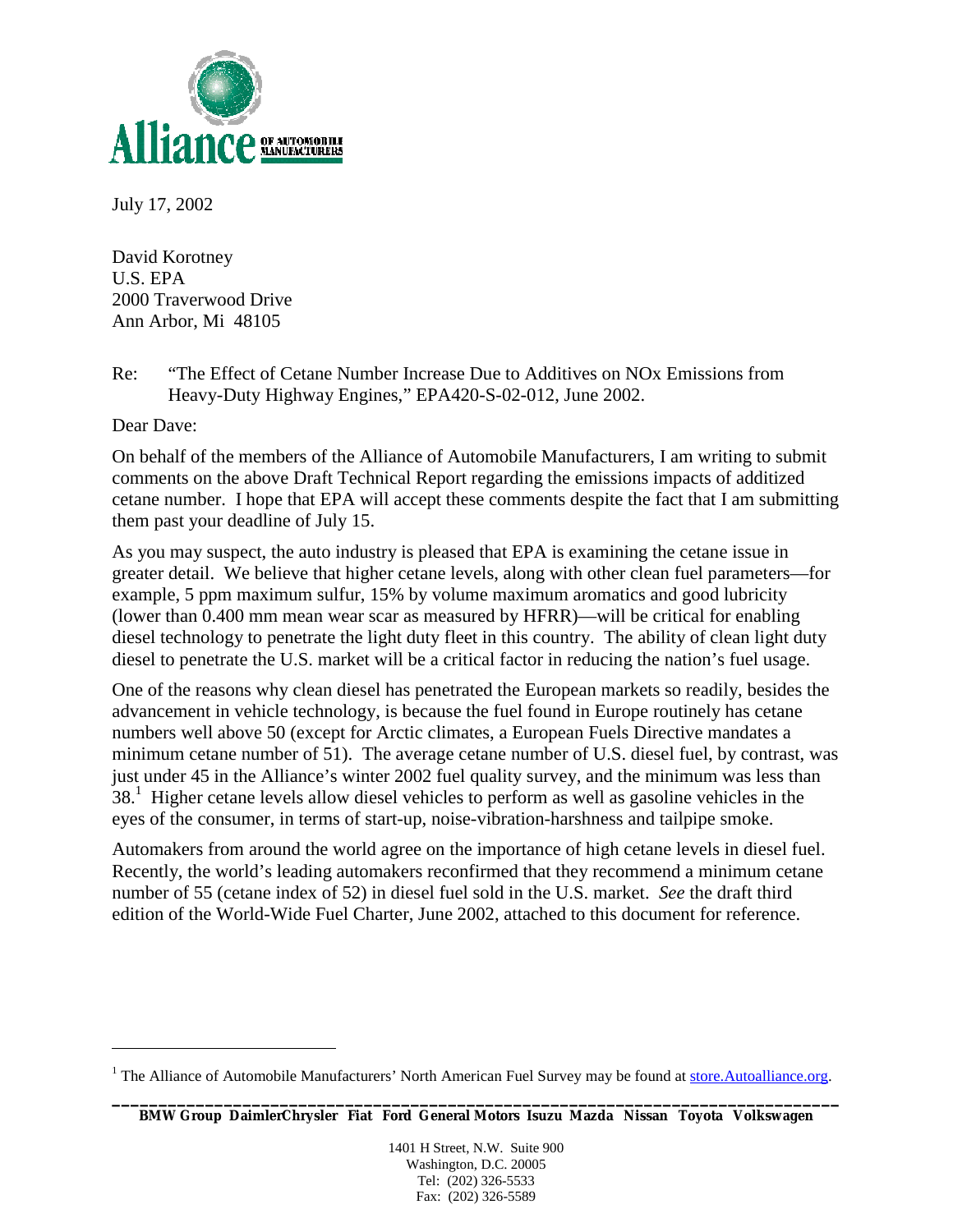

July 17, 2002

David Korotney U.S. EPA 2000 Traverwood Drive Ann Arbor, Mi 48105

Re: "The Effect of Cetane Number Increase Due to Additives on NOx Emissions from Heavy-Duty Highway Engines," EPA420-S-02-012, June 2002.

Dear Dave:

 $\overline{a}$ 

 cetane number. I hope that EPA will accept these comments despite the fact that I am submitting On behalf of the members of the Alliance of Automobile Manufacturers, I am writing to submit comments on the above Draft Technical Report regarding the emissions impacts of additized them past your deadline of July 15.

As you may suspect, the auto industry is pleased that EPA is examining the cetane issue in greater detail. We believe that higher cetane levels, along with other clean fuel parameters—for example, 5 ppm maximum sulfur, 15% by volume maximum aromatics and good lubricity (lower than 0.400 mm mean wear scar as measured by HFRR)—will be critical for enabling diesel technology to penetrate the light duty fleet in this country. The ability of clean light duty diesel to penetrate the U.S. market will be a critical factor in reducing the nation's fuel usage.

One of the reasons why clean diesel has penetrated the European markets so readily, besides the advancement in vehicle technology, is because the fuel found in Europe routinely has cetane numbers well above 50 (except for Arctic climates, a European Fuels Directive mandates a minimum cetane number of 51). The average cetane number of U.S. diesel fuel, by contrast, was just under 45 in the Alliance's winter 2002 fuel quality survey, and the minimum was less than 38.<sup>1</sup> Higher cetane levels allow diesel vehicles to perform as well as gasoline vehicles in the eyes of the consumer, in terms of start-up, noise-vibration-harshness and tailpipe smoke.

Automakers from around the world agree on the importance of high cetane levels in diesel fuel. Recently, the world's leading automakers reconfirmed that they recommend a minimum cetane number of 55 (cetane index of 52) in diesel fuel sold in the U.S. market. *See* the draft third edition of the World-Wide Fuel Charter, June 2002, attached to this document for reference.

1401 H Street, N.W. Suite 900 Washington, D.C. 20005 Tel: (202) 326-5533 Fax: (202) 326-5589

<sup>&</sup>lt;sup>1</sup> The Alliance of Automobile Manufacturers' North American Fuel Survey may be found at store.Autoalliance.org.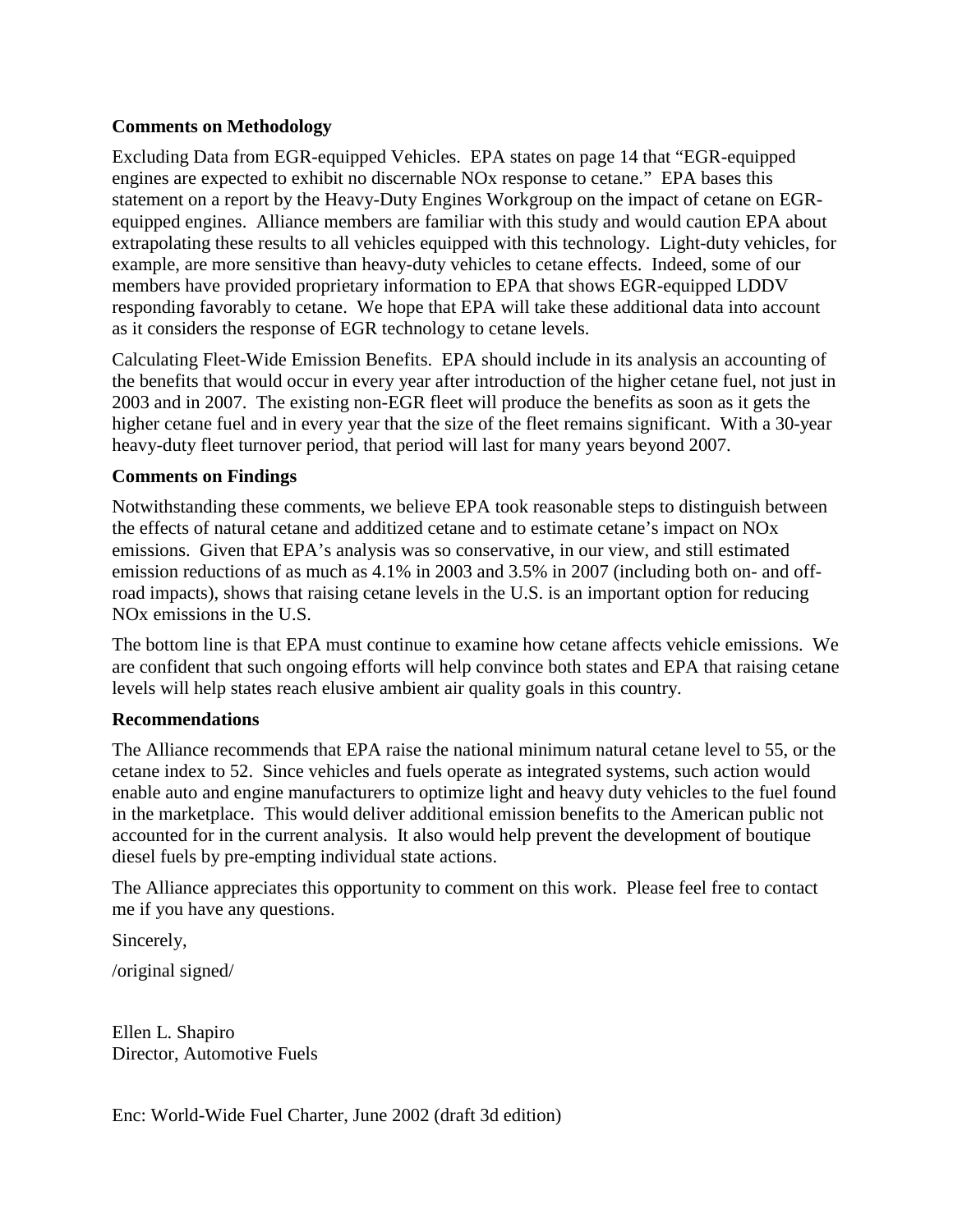# **Comments on Methodology**

Excluding Data from EGR-equipped Vehicles. EPA states on page 14 that "EGR-equipped engines are expected to exhibit no discernable NOx response to cetane." EPA bases this statement on a report by the Heavy-Duty Engines Workgroup on the impact of cetane on EGRequipped engines. Alliance members are familiar with this study and would caution EPA about extrapolating these results to all vehicles equipped with this technology. Light-duty vehicles, for example, are more sensitive than heavy-duty vehicles to cetane effects. Indeed, some of our members have provided proprietary information to EPA that shows EGR-equipped LDDV responding favorably to cetane. We hope that EPA will take these additional data into account as it considers the response of EGR technology to cetane levels.

Calculating Fleet-Wide Emission Benefits. EPA should include in its analysis an accounting of the benefits that would occur in every year after introduction of the higher cetane fuel, not just in 2003 and in 2007. The existing non-EGR fleet will produce the benefits as soon as it gets the higher cetane fuel and in every year that the size of the fleet remains significant. With a 30-year heavy-duty fleet turnover period, that period will last for many years beyond 2007.

## **Comments on Findings**

Notwithstanding these comments, we believe EPA took reasonable steps to distinguish between the effects of natural cetane and additized cetane and to estimate cetane's impact on NOx emissions. Given that EPA's analysis was so conservative, in our view, and still estimated emission reductions of as much as 4.1% in 2003 and 3.5% in 2007 (including both on- and offroad impacts), shows that raising cetane levels in the U.S. is an important option for reducing NOx emissions in the U.S.

The bottom line is that EPA must continue to examine how cetane affects vehicle emissions. We are confident that such ongoing efforts will help convince both states and EPA that raising cetane levels will help states reach elusive ambient air quality goals in this country.

### **Recommendations**

The Alliance recommends that EPA raise the national minimum natural cetane level to 55, or the cetane index to 52. Since vehicles and fuels operate as integrated systems, such action would enable auto and engine manufacturers to optimize light and heavy duty vehicles to the fuel found in the marketplace. This would deliver additional emission benefits to the American public not accounted for in the current analysis. It also would help prevent the development of boutique diesel fuels by pre-empting individual state actions.

The Alliance appreciates this opportunity to comment on this work. Please feel free to contact me if you have any questions.

Sincerely,

/original signed/

Ellen L. Shapiro Director, Automotive Fuels

Enc: World-Wide Fuel Charter, June 2002 (draft 3d edition)